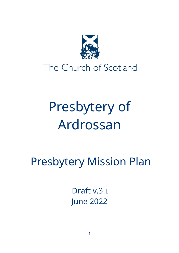

# Presbytery of Ardrossan

Presbytery Mission Plan

Draft v.3.1 June 2022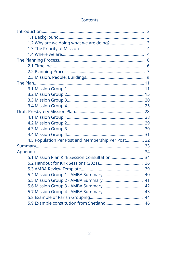| 4.5 Population Per Post and Membership Per Post 32 |    |
|----------------------------------------------------|----|
|                                                    |    |
|                                                    |    |
|                                                    |    |
|                                                    |    |
|                                                    |    |
|                                                    |    |
|                                                    |    |
|                                                    |    |
|                                                    |    |
|                                                    | 44 |
|                                                    |    |

## Contents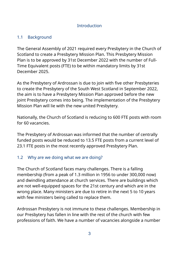## **Introduction**

## 1.1 Background

The General Assembly of 2021 required every Presbytery in the Church of Scotland to create a Presbytery Mission Plan. This Presbytery Mission Plan is to be approved by 31st December 2022 with the number of Full-Time Equivalent posts (FTE) to be within mandatory limits by 31st December 2025.

As the Presbytery of Ardrossan is due to join with five other Presbyteries to create the Presbytery of the South West Scotland in September 2022, the aim is to have a Presbytery Mission Plan approved before the new joint Presbytery comes into being. The implementation of the Presbytery Mission Plan will lie with the new united Presbytery.

Nationally, the Church of Scotland is reducing to 600 FTE posts with room for 60 vacancies.

The Presbytery of Ardrossan was informed that the number of centrally funded posts would be reduced to 13.5 FTE posts from a current level of 23.1 FTE posts in the most recently approved Presbytery Plan.

# 1.2 Why are we doing what we are doing?

The Church of Scotland faces many challenges. There is a falling membership (from a peak of 1.3 million in 1956 to under 300,000 now) and dwindling attendance at church services. There are buildings which are not well-equipped spaces for the 21st century and which are in the wrong place. Many ministers are due to retire in the next 5 to 10 years with few ministers being called to replace them.

Ardrossan Presbytery is not immune to these challenges. Membership in our Presbytery has fallen in line with the rest of the church with few professions of faith. We have a number of vacancies alongside a number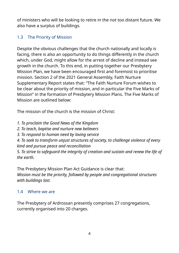of ministers who will be looking to retire in the not too distant future. We also have a surplus of buildings.

# 1.3 The Priority of Mission

Despite the obvious challenges that the church nationally and locally is facing, there is also an opportunity to do things differently in the church which, under God, might allow for the arrest of decline and instead see growth in the church. To this end, in putting together our Presbytery Mission Plan, we have been encouraged first and foremost to prioritise mission. Section 2 of the 2021 General Assembly, Faith Nurture Supplementary Report states that: "The Faith Nurture Forum wishes to be clear about the priority of mission, and in particular the Five Marks of Mission" in the formation of Presbytery Mission Plans. The Five Marks of Mission are outlined below:

The mission of the church is the mission of Christ:

- *1. To proclaim the Good News of the Kingdom*
- *2. To teach, baptise and nurture new believers*
- *3. To respond to human need by loving service*

*4. To seek to transform unjust structures of society, to challenge violence of every kind and pursue peace and reconciliation*

*5. To strive to safeguard the integrity of creation and sustain and renew the life of the earth.*

The Presbytery Mission Plan Act Guidance is clear that: *Mission must be the priority, followed by people and congregational structures with buildings last.*

# 1.4 Where we are

The Presbytery of Ardrossan presently comprises 27 congregations, currently organised into 20 charges.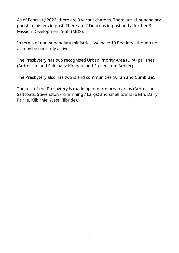As of February 2022, there are 9 vacant charges. There are 11 stipendiary parish ministers in post. There are 2 Deacons in post and a further 3 Mission Development Staff (MDS).

In terms of non-stipendiary ministries, we have 10 Readers - though not all may be currently active.

The Presbytery has two recognised Urban Priority Area (UPA) parishes (Ardrossan and Saltcoats: Kirkgate and Stevenston: Ardeer).

The Presbytery also has two island communities (Arran and Cumbrae).

The rest of the Presbytery is made up of more urban areas (Ardrossan, Saltcoats, Stevenston / Kilwinning / Largs) and small towns (Beith, Dalry, Fairlie, Kilbirnie, West Kilbride).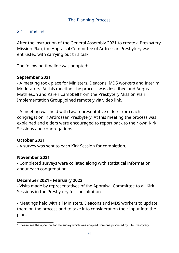## 2.1 Timeline

After the instruction of the General Assembly 2021 to create a Presbytery Mission Plan, the Appraisal Committee of Ardrossan Presbytery was entrusted with carrying out this task.

The following timeline was adopted:

## **September 2021**

- A meeting took place for Ministers, Deacons, MDS workers and Interim Moderators. At this meeting, the process was described and Angus Mathieson and Karen Campbell from the Presbytery Mission Plan Implementation Group joined remotely via video link.

- A meeting was held with two representative elders from each congregation in Ardrossan Presbytery. At this meeting the process was explained and elders were encouraged to report back to their own Kirk Sessions and congregations.

## <span id="page-5-0"></span>**October 2021**

- A survey was sent to each Kirk Session for completion.<sup>[1](#page-5-1)</sup>

## **November 2021**

- Completed surveys were collated along with statistical information about each congregation.

## **December 2021 - February 2022**

- Visits made by representatives of the Appraisal Committee to all Kirk Sessions in the Presbytery for consultation.

- Meetings held with all Ministers, Deacons and MDS workers to update them on the process and to take into consideration their input into the plan.

<span id="page-5-1"></span>[<sup>1</sup>](#page-5-0) Please see the appendix for the survey which was adapted from one produced by Fife Presbytery.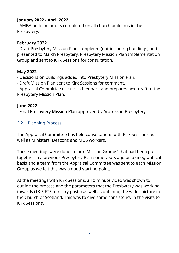## **January 2022 - April 2022**

- AMBA building audits completed on all church buildings in the Presbytery.

## **February 2022**

- Draft Presbytery Mission Plan completed (not including buildings) and presented to March Presbytery, Presbytery Mission Plan Implementation Group and sent to Kirk Sessions for consultation.

## **May 2022**

- Decisions on buildings added into Presbytery Mission Plan.

- Draft Mission Plan sent to Kirk Sessions for comment.

- Appraisal Committee discusses feedback and prepares next draft of the Presbytery Mission Plan.

## **June 2022**

- Final Presbytery Mission Plan approved by Ardrossan Presbytery.

## 2.2 Planning Process

The Appraisal Committee has held consultations with Kirk Sessions as well as Ministers, Deacons and MDS workers.

These meetings were done in four 'Mission Groups' that had been put together in a previous Presbytery Plan some years ago on a geographical basis and a team from the Appraisal Committee was sent to each Mission Group as we felt this was a good starting point.

At the meetings with Kirk Sessions, a 10 minute video was shown to outline the process and the parameters that the Presbytery was working towards (13.5 FTE ministry posts) as well as outlining the wider picture in the Church of Scotland. This was to give some consistency in the visits to Kirk Sessions.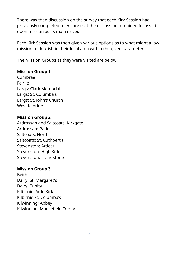There was then discussion on the survey that each Kirk Session had previously completed to ensure that the discussion remained focussed upon mission as its main driver.

Each Kirk Session was then given various options as to what might allow mission to flourish in their local area within the given parameters.

The Mission Groups as they were visited are below:

## **Mission Group 1**

Cumbrae Fairlie Largs: Clark Memorial Largs: St. Columba's Largs: St. John's Church West Kilbride

#### **Mission Group 2**

Ardrossan and Saltcoats: Kirkgate Ardrossan: Park Saltcoats: North Saltcoats: St. Cuthbert's Stevenston: Ardeer Stevenston: High Kirk Stevenston: Livingstone

## **Mission Group 3**

Beith Dalry: St. Margaret's Dalry: Trinity Kilbirnie: Auld Kirk Kilbirnie St. Columba's Kilwinning: Abbey Kilwinning: Mansefield Trinity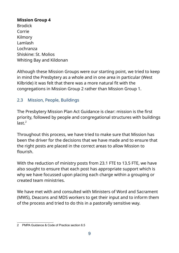## **Mission Group 4**

Brodick Corrie Kilmory Lamlash Lochranza Shiskine: St. Molios Whiting Bay and Kildonan

Although these Mission Groups were our starting point, we tried to keep in mind the Presbytery as a whole and in one area in particular (West Kilbride) it was felt that there was a more natural fit with the congregations in Mission Group 2 rather than Mission Group 1.

## 2.3 Mission, People, Buildings

<span id="page-8-0"></span>The Presbytery Mission Plan Act Guidance is clear: mission is the first priority, followed by people and congregational structures with buildings  $last.<sup>2</sup>$  $last.<sup>2</sup>$  $last.<sup>2</sup>$ 

Throughout this process, we have tried to make sure that Mission has been the driver for the decisions that we have made and to ensure that the right posts are placed in the correct areas to allow Mission to flourish.

With the reduction of ministry posts from 23.1 FTE to 13.5 FTE, we have also sought to ensure that each post has appropriate support which is why we have focussed upon placing each charge within a grouping or created team ministries.

We have met with and consulted with Ministers of Word and Sacrament (MWS), Deacons and MDS workers to get their input and to inform them of the process and tried to do this in a pastorally sensitive way.

<span id="page-8-1"></span>[<sup>2</sup>](#page-8-0) PMPA Guidance & Code of Practice section 6.5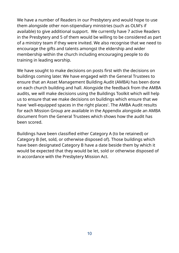We have a number of Readers in our Presbytery and would hope to use them alongside other non-stipendiary ministries (such as OLM's if available) to give additional support. We currently have 7 active Readers in the Presbytery and 5 of them would be willing to be considered as part of a ministry team if they were invited. We also recognise that we need to encourage the gifts and talents amongst the eldership and wider membership within the church including encouraging people to do training in leading worship.

We have sought to make decisions on posts first with the decisions on buildings coming later. We have engaged with the General Trustees to ensure that an Asset Management Building Audit (AMBA) has been done on each church building and hall. Alongside the feedback from the AMBA audits, we will make decisions using the Buildings Toolkit which will help us to ensure that we make decisions on buildings which ensure that we have 'well-equipped spaces in the right places'. The AMBA Audit results for each Mission Group are available in the Appendix alongside an AMBA document from the General Trustees which shows how the audit has been scored.

Buildings have been classified either Category A (to be retained) or Category B (let, sold, or otherwise disposed of). Those buildings which have been designated Category B have a date beside them by which it would be expected that they would be let, sold or otherwise disposed of in accordance with the Presbytery Mission Act.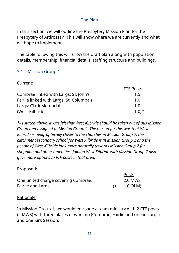## The Plan

In this section, we will outline the Presbytery Mission Plan for the Presbytery of Ardrossan. This will show where we are currently and what we hope to implement.

The table following this will show the draft plan along with population details, membership, financial details, staffing structure and buildings.

## 3.1 Mission Group 1

Current:

|                                          | <b>FTE Posts</b> |
|------------------------------------------|------------------|
| Cumbrae linked with Largs: St. John's    | 1.5              |
| Fairlie linked with Largs: St. Columba's | 1.0              |
| Largs: Clark Memorial                    | 1.0              |
| (West Kilbride)                          | $(1.0)*$         |

*\*As stated above, it was felt that West Kilbride should be taken out of this Mission Group and assigned to Mission Group 2. The reason for this was that West Kilbride is geographically closer to the churches in Mission Group 2, the catchment secondary school for West Kilbride is in Mission Group 2 and the people of West Kilbride look more naturally towards Mission Group 2 for shopping and other amenities. Joining West Kilbride with Mission Group 2 also gave more options to FTE posts in that area.*

#### Proposed:

|                                     | Posts         |
|-------------------------------------|---------------|
| One united charge covering Cumbrae, | 2.0 MWS       |
| Fairlie and Largs.                  | $(+ 1.0$ OLM) |

#### Rationale

In Mission Group 1, we would envisage a team ministry with 2 FTE posts (2 MWS) with three places of worship (Cumbrae, Fairlie and one in Largs) and one Kirk Session.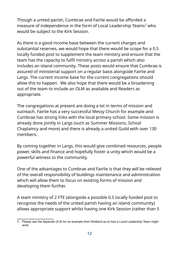<span id="page-11-0"></span>Though a united parish, Cumbrae and Fairlie would be afforded a measure of independence in the form of Local Leadership Teams $^3$  $^3$  who would be subject to the Kirk Session.

As there is a good income base between the current charges and substantial reserves, we would hope that there would be scope for a 0.5 locally funded post to supplement the team ministry and ensure that the team has the capacity to fulfil ministry across a parish which also includes an island community. These posts would ensure that Cumbrae is assured of ministerial support on a regular basis alongside Fairlie and Largs. The current income base for the current congregations should allow this to happen. We also hope that there would be a broadening out of the team to include an OLM as available and Readers as appropriate.

The congregations at present are doing a lot in terms of mission and outreach. Fairlie has a very successful Messy Church for example and Cumbrae has strong links with the local primary school. Some mission is already done jointly in Largs (such as Summer Missions, School Chaplaincy and more) and there is already a united Guild with over 130 members.

By coming together in Largs, this would give combined resources, people power, skills and finance and hopefully foster a unity which would be a powerful witness to the community.

One of the advantages to Cumbrae and Fairlie is that they will be relieved of the overall responsibility of buildings maintenance and administration which will allow them to focus on existing forms of mission and developing them further.

A team ministry of 2 FTE (alongside a possible 0.5 locally funded post to recognise the needs of the united parish having an island community) allows appropriate support whilst having one Kirk Session (rather than 5

<span id="page-11-1"></span>[<sup>3</sup>](#page-11-0) Please see the Appendix (5.9) for an example from Shetland as to how a Local Leadership Team might work.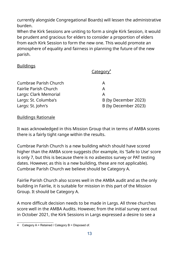currently alongside Congregational Boards) will lessen the administrative burden.

When the Kirk Sessions are uniting to form a single Kirk Session, it would be prudent and gracious for elders to consider a proportion of elders from each Kirk Session to form the new one. This would promote an atmosphere of equality and fairness in planning the future of the new parish.

## Buildings

<span id="page-12-0"></span>Category<sup>4</sup>

| <b>Cumbrae Parish Church</b> | А                    |
|------------------------------|----------------------|
| <b>Fairlie Parish Church</b> | А                    |
| Largs: Clark Memorial        | А                    |
| Largs: St. Columba's         | B (by December 2023) |
| Largs: St. John's            | B (by December 2023) |
|                              |                      |

## Buildings Rationale

It was acknowledged in this Mission Group that in terms of AMBA scores there is a fairly tight range within the results.

Cumbrae Parish Church is a new building which should have scored higher than the AMBA score suggests (for example, its 'Safe to Use' score is only 7, but this is because there is no asbestos survey or PAT testing dates. However, as this is a new building, these are not applicable). Cumbrae Parish Church we believe should be Category A.

Fairlie Parish Church also scores well in the AMBA audit and as the only building in Fairlie, it is suitable for mission in this part of the Mission Group. It should be Category A.

A more difficult decision needs to be made in Largs. All three churches score well in the AMBA Audits. However, from the initial survey sent out in October 2021, the Kirk Sessions in Largs expressed a desire to see a

<span id="page-12-1"></span>[<sup>4</sup>](#page-12-0) Category A = Retained / Category B = Disposed of.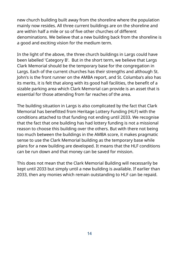new church building built away from the shoreline where the population mainly now resides. All three current buildings are on the shoreline and are within half a mile or so of five other churches of different denominations. We believe that a new building back from the shoreline is a good and exciting vision for the medium term.

In the light of the above, the three church buildings in Largs could have been labelled 'Category B'. But in the short term, we believe that Largs Clark Memorial should be the temporary base for the congregation in Largs. Each of the current churches has their strengths and although St. John's is the front runner on the AMBA report, and St. Columba's also has its merits, it is felt that along with its good hall facilities, the benefit of a sizable parking area which Clark Memorial can provide is an asset that is essential for those attending from far reaches of the area.

The building situation in Largs is also complicated by the fact that Clark Memorial has benefitted from Heritage Lottery Funding (HLF) with the conditions attached to that funding not ending until 2033. We recognise that the fact that one building has had lottery funding is not a missional reason to choose this building over the others. But with there not being too much between the buildings in the AMBA score, it makes pragmatic sense to use the Clark Memorial building as the temporary base while plans for a new building are developed. It means that the HLF conditions can be run down and that money can be saved for mission.

This does not mean that the Clark Memorial Building will necessarily be kept until 2033 but simply until a new building is available. If earlier than 2033, then any monies which remain outstanding to HLF can be repaid.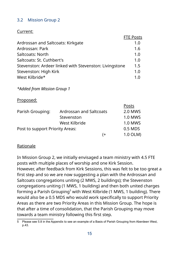## 3.2 Mission Group 2

## Current:

|                                                        | <b>FTE Posts</b> |
|--------------------------------------------------------|------------------|
| Ardrossan and Saltcoats: Kirkgate                      | 1.0              |
| Ardrossan: Park                                        | 1.6              |
| Saltcoats: North                                       | 1.0              |
| Saltcoats: St. Cuthbert's                              | 1.0              |
| Stevenston: Ardeer linked with Stevenston: Livingstone | 1.5              |
| Stevenston: High Kirk                                  | 1.0              |
| West Kilbride*                                         |                  |

#### *\*Added from Mission Group 1*

#### Proposed:

|                                 |                         | Posts          |
|---------------------------------|-------------------------|----------------|
| Parish Grouping:                | Ardrossan and Saltcoats | <b>2.0 MWS</b> |
|                                 | Stevenston              | <b>1.0 MWS</b> |
|                                 | West Kilbride           | <b>1.0 MWS</b> |
| Post to support Priority Areas: |                         | 0.5 MDS        |
|                                 | ′+                      | 1.0 OLM)       |

## Rationale

In Mission Group 2, we initially envisaged a team ministry with 4.5 FTE posts with multiple places of worship and one Kirk Session. However, after feedback from Kirk Sessions, this was felt to be too great a first step and so we are now suggesting a plan with the Ardrossan and Saltcoats congregations uniting (2 MWS, 2 buildings); the Stevenston congregations uniting (1 MWS, 1 building) and then both united charges forming a Parish Grouping<sup>[5](#page-14-1)</sup> with West Kilbride (1 MWS, 1 building). There would also be a 0.5 MDS who would work specifically to support Priority Areas as there are two Priority Areas in this Mission Group. The hope is that after a time of consolidation, that the Parish Grouping may move towards a team ministry following this first step.

<span id="page-14-1"></span><span id="page-14-0"></span>[<sup>5</sup>](#page-14-0) Please see 5.8 in the Appendix to see an example of a Basis of Parish Grouping from Aberdeen West, p.43.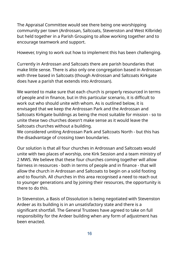The Appraisal Committee would see there being one worshipping community per town (Ardrossan, Saltcoats, Stevenston and West Kilbride) but held together in a Parish Grouping to allow working together and to encourage teamwork and support.

However, trying to work out how to implement this has been challenging.

Currently in Ardrossan and Saltcoats there are parish boundaries that make little sense. There is also only one congregation based in Ardrossan with three based in Saltcoats (though Ardrossan and Saltcoats Kirkgate does have a parish that extends into Ardrossan).

We wanted to make sure that each church is properly resourced in terms of people and in finance, but in this particular scenario, it is difficult to work out who should unite with whom. As is outlined below, it is envisaged that we keep the Ardrossan Park and the Ardrossan and Saltcoats Kirkgate buildings as being the most suitable for mission - so to unite these two churches doesn't make sense as it would leave the Saltcoats churches without a building.

We considered uniting Ardrossan Park and Saltcoats North - but this has the disadvantage of crossing town boundaries.

Our solution is that all four churches in Ardrossan and Saltcoats would unite with two places of worship, one Kirk Session and a team ministry of 2 MWS. We believe that these four churches coming together will allow fairness in resources - both in terms of people and in finance - that will allow the church in Ardrossan and Saltcoats to begin on a solid footing and to flourish. All churches in this area recognised a need to reach out to younger generations and by joining their resources, the opportunity is there to do this.

In Stevenston, a Basis of Dissolution is being negotiated with Stevenston Ardeer as its building is in an unsatisfactory state and there is a significant shortfall. The General Trustees have agreed to take on full responsibility for the Ardeer building when any form of adjustment has been enacted.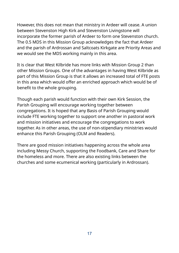However, this does not mean that ministry in Ardeer will cease. A union between Stevenston High Kirk and Stevenston Livingstone will incorporate the former parish of Ardeer to form one Stevenston church. The 0.5 MDS in this Mission Group acknowledges the fact that Ardeer and the parish of Ardrossan and Saltcoats Kirkgate are Priority Areas and we would see the MDS working mainly in this area.

It is clear that West Kilbride has more links with Mission Group 2 than other Mission Groups. One of the advantages in having West Kilbride as part of this Mission Group is that it allows an increased total of FTE posts in this area which would offer an enriched approach which would be of benefit to the whole grouping.

Though each parish would function with their own Kirk Session, the Parish Grouping will encourage working together between congregations. It is hoped that any Basis of Parish Grouping would include FTE working together to support one another in pastoral work and mission initiatives and encourage the congregations to work together. As in other areas, the use of non-stipendiary ministries would enhance this Parish Grouping (OLM and Readers).

There are good mission initiatives happening across the whole area including Messy Church, supporting the Foodbank, Care and Share for the homeless and more. There are also existing links between the churches and some ecumenical working (particularly in Ardrossan).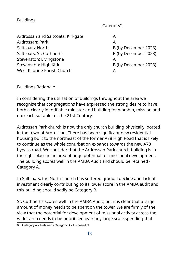## **Buildings**

<span id="page-17-0"></span>Category<sup>6</sup>

| Ardrossan and Saltcoats: Kirkgate | Α                    |
|-----------------------------------|----------------------|
| Ardrossan: Park                   | A                    |
| Saltcoats: North                  | B (by December 2023) |
| Saltcoats: St. Cuthbert's         | B (by December 2023) |
| Stevenston: Livingstone           | Α                    |
| Stevenston: High Kirk             | B (by December 2023) |
| West Kilbride Parish Church       | А                    |

#### Buildings Rationale

In considering the utilisation of buildings throughout the area we recognise that congregations have expressed the strong desire to have both a clearly identifiable minister and building for worship, mission and outreach suitable for the 21st Century.

Ardrossan Park church is now the only church building physically located in the town of Ardrossan. There has been significant new residential housing built to the northeast of the former A78 High Road that is likely to continue as the whole conurbation expands towards the new A78 bypass road. We consider that the Ardrossan Park church building is in the right place in an area of huge potential for missional development. The building scores well in the AMBA Audit and should be retained - Category A.

In Saltcoats, the North church has suffered gradual decline and lack of investment clearly contributing to its lower score in the AMBA audit and this building should sadly be Category B.

St. Cuthbert's scores well in the AMBA Audit, but it is clear that a large amount of money needs to be spent on the tower. We are firmly of the view that the potential for development of missional activity across the wider area needs to be prioritised over any large scale spending that

<span id="page-17-1"></span>[<sup>6</sup>](#page-17-0) Category  $A = Retained / Categorical$  B = Disposed of.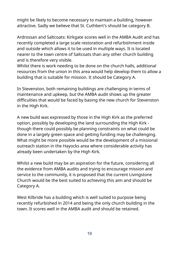might be likely to become necessary to maintain a building, however attractive. Sadly we believe that St. Cuthbert's should be category B.

Ardrossan and Saltcoats: Kirkgate scores well in the AMBA Audit and has recently completed a large scale restoration and refurbishment inside and outside which allows it to be used in multiple ways. It is located nearer to the town centre of Saltcoats than any other church building and is therefore very visible.

Whilst there is work needing to be done on the church halls, additional resources from the union in this area would help develop them to allow a building that is suitable for mission. It should be Category A.

In Stevenston, both remaining buildings are challenging in terms of maintenance and upkeep, but the AMBA audit shows up the greater difficulties that would be faced by basing the new church for Stevenston in the High Kirk.

A new build was expressed by those in the High Kirk as the preferred option, possibly by developing the land surrounding the High Kirk though there could possibly be planning constraints on what could be done in a largely green space and getting funding may be challenging. What might be more possible would be the development of a missional outreach station in the Hayocks area where considerable activity has already been undertaken by the High Kirk.

Whilst a new build may be an aspiration for the future, considering all the evidence from AMBA audits and trying to encourage mission and service to the community, it is proposed that the current Livingstone Church would be the best suited to achieving this aim and should be Category A.

West Kilbride has a building which is well suited to purpose being recently refurbished in 2014 and being the only church building in the town. It scores well in the AMBA audit and should be retained.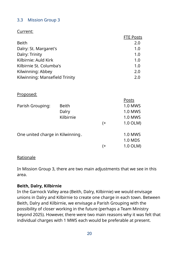## 3.3 Mission Group 3

## Current:

|                                | <b>FTE Posts</b> |
|--------------------------------|------------------|
| <b>Beith</b>                   | 2.0              |
| Dalry: St. Margaret's          | 1.0              |
| Dalry: Trinity                 | 1.0              |
| Kilbirnie: Auld Kirk           | 1.0              |
| Kilbirnie St. Columba's        | 1.0              |
| Kilwinning: Abbey              | 2.0              |
| Kilwinning: Mansefield Trinity | 2.0              |

Proposed:

|                                  |           |       | Posts          |
|----------------------------------|-----------|-------|----------------|
| Parish Grouping:                 | Beith     |       | <b>1.0 MWS</b> |
|                                  | Dalry     |       | 1.0 MWS        |
|                                  | Kilbirnie |       | 1.0 MWS        |
|                                  |           | $($ + | 1.0 OLM)       |
| One united charge in Kilwinning. |           |       | <b>1.0 MWS</b> |
|                                  |           |       | 1.0 MDS        |
|                                  |           | (+    | 1.0 OLM)       |
|                                  |           |       |                |

#### **Rationale**

In Mission Group 3, there are two main adjustments that we see in this area.

## **Beith, Dalry, Kilbirnie**

In the Garnock Valley area (Beith, Dalry, Kilbirnie) we would envisage unions in Dalry and Kilbirnie to create one charge in each town. Between Beith, Dalry and Kilbirnie, we envisage a Parish Grouping with the possibility of closer working in the future (perhaps a Team Ministry beyond 2025). However, there were two main reasons why it was felt that individual charges with 1 MWS each would be preferable at present.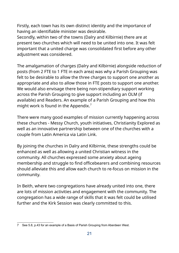Firstly, each town has its own distinct identity and the importance of having an identifiable minister was desirable.

Secondly, within two of the towns (Dalry and Kilbirnie) there are at present two churches which will need to be united into one. It was felt important that a united charge was consolidated first before any other adjustment was considered.

The amalgamation of charges (Dalry and Kilbirnie) alongside reduction of posts (from 2 FTE to 1 FTE in each area) was why a Parish Grouping was felt to be desirable to allow the three charges to support one another as appropriate and also to allow those in FTE posts to support one another. We would also envisage there being non-stipendiary support working across the Parish Grouping to give support including an OLM (if available) and Readers. An example of a Parish Grouping and how this might work is found in the Appendix.<sup>[7](#page-20-1)</sup>

<span id="page-20-0"></span>There were many good examples of mission currently happening across these churches - Messy Church, youth initiatives, Christianity Explored as well as an innovative partnership between one of the churches with a couple from Latin America via Latin Link.

By joining the churches in Dalry and Kilbirnie, these strengths could be enhanced as well as allowing a united Christian witness in the community. All churches expressed some anxiety about ageing membership and struggle to find officebearers and combining resources should alleviate this and allow each church to re-focus on mission in the community.

In Beith, where two congregations have already united into one, there are lots of mission activities and engagement with the community. The congregation has a wide range of skills that it was felt could be utilised further and the Kirk Session was clearly committed to this.

<span id="page-20-1"></span>[<sup>7</sup>](#page-20-0) See 5.8, p.43 for an example of a Basis of Parish Grouping from Aberdeen West.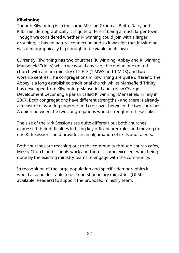## **Kilwinning**

Though Kilwinning is in the same Mission Group as Beith, Dalry and Kilbirnie, demographically it is quite different being a much larger town. Though we considered whether Kilwinning could join with a larger grouping, it has no natural connection and so it was felt that Kilwinning was demographically big enough to be viable on its own.

Currently Kilwinning has two churches (Kilwinning: Abbey and Kilwinning: Mansefield Trinity) which we would envisage becoming one united church with a team ministry of 2 FTE (1 MWS and 1 MDS) and two worship centres. The congregations in Kilwinning are quite different. The Abbey is a long established traditional church whilst Mansefield Trinity has developed from Kilwinning: Mansefield and a New Charge Development becoming a parish called Kilwinning: Mansefield Trinity in 2007. Both congregations have different strengths - and there is already a measure of working together and crossover between the two churches. A union between the two congregations would strengthen these links.

The size of the Kirk Sessions are quite different but both churches expressed their difficulties in filling key officebearer roles and moving to one Kirk Session could provide an amalgamation of skills and talents.

Both churches are reaching out to the community through church cafes, Messy Church and schools work and there is some excellent work being done by the existing ministry teams to engage with the community.

In recognition of the large population and specific demographics it would also be desirable to use non-stipendiary ministries (OLM if available; Readers) to support the proposed ministry team.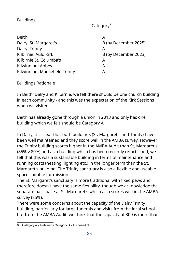## **Buildings**

## <span id="page-22-0"></span>Category<sup>8</sup>

| <b>Beith</b>                   |                      |
|--------------------------------|----------------------|
| Dalry: St. Margaret's          | B (by December 2025) |
| Dalry: Trinity                 | Α                    |
| Kilbirnie: Auld Kirk           | B (by December 2023) |
| Kilbirnie St. Columba's        | Α                    |
| Kilwinning: Abbey              | A                    |
| Kilwinning: Mansefield Trinity |                      |

#### Buildings Rationale

In Beith, Dalry and Kilbirnie, we felt there should be one church building in each community - and this was the expectation of the Kirk Sessions when we visited.

Beith has already gone through a union in 2013 and only has one building which we felt should be Category A.

In Dalry, it is clear that both buildings (St. Margaret's and Trinity) have been well maintained and they score well in the AMBA survey. However, the Trinity building scores higher in the AMBA Audit than St. Margaret's (85% v 80%) and as a building which has been recently refurbished, we felt that this was a sustainable building in terms of maintenance and running costs (heating, lighting etc.) in the longer term than the St. Margaret's building. The Trinity sanctuary is also a flexible and useable space suitable for mission.

The St. Margaret's sanctuary is more traditional with fixed pews and therefore doesn't have the same flexibility, though we acknowledge the separate hall space at St. Margaret's which also scores well in the AMBA survey (85%).

There were some concerns about the capacity of the Dalry Trinity building, particularly for large funerals and visits from the local school but from the AMBA Audit, we think that the capacity of 300 is more than

<span id="page-22-1"></span>[<sup>8</sup>](#page-22-0) Category A = Retained / Category B = Disposed of.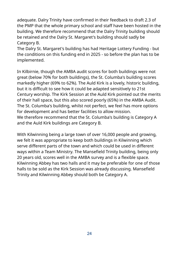adequate. Dalry Trinity have confirmed in their feedback to draft 2.3 of the PMP that the whole primary school and staff have been hosted in the building. We therefore recommend that the Dalry Trinity building should be retained and the Dalry St. Margaret's building should sadly be Category B.

The Dalry St. Margaret's building has had Heritage Lottery Funding - but the conditions on this funding end in 2025 - so before the plan has to be implemented.

In Kilbirnie, though the AMBA audit scores for both buildings were not great (below 70% for both buildings), the St. Columba's building scores markedly higher (69% to 62%). The Auld Kirk is a lovely, historic building, but it is difficult to see how it could be adapted sensitively to 21st Century worship. The Kirk Session at the Auld Kirk pointed out the merits of their hall space, but this also scored poorly (65%) in the AMBA Audit. The St. Columba's building, whilst not perfect, we feel has more options for development and has better facilities to allow mission. We therefore recommend that the St. Columba's building is Category A and the Auld Kirk buildings are Category B.

With Kilwinning being a large town of over 16,000 people and growing, we felt it was appropriate to keep both buildings in Kilwinning which serve different parts of the town and which could be used in different ways within a Team Ministry. The Mansefield Trinity building, being only 20 years old, scores well in the AMBA survey and is a flexible space. Kilwinning Abbey has two halls and it may be preferable for one of those halls to be sold as the Kirk Session was already discussing. Mansefield Trinity and Kilwinning Abbey should both be Category A.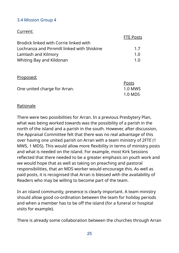## 3.4 Mission Group 4

## Current:

|                                             | <b>FTE Posts</b> |
|---------------------------------------------|------------------|
| Brodick linked with Corrie linked with      |                  |
| Lochranza and Pirnmill linked with Shiskine | 17               |
| Lamlash and Kilmory                         | 1 በ              |
| Whiting Bay and Kildonan                    | 1 Q              |

#### Proposed:

|                              | Posts   |
|------------------------------|---------|
| One united charge for Arran. | 1.0 MWS |
|                              | 1.0 MDS |

#### Rationale

There were two possibilities for Arran. In a previous Presbytery Plan, what was being worked towards was the possibility of a parish in the north of the island and a parish in the south. However, after discussion, the Appraisal Committee felt that there was no real advantage of this over having one united parish on Arran with a team ministry of 2FTE (1 MWS, 1 MDS). This would allow more flexibility in terms of ministry posts and what is needed on the island. For example, most Kirk Sessions reflected that there needed to be a greater emphasis on youth work and we would hope that as well as taking on preaching and pastoral responsibilities, that an MDS worker would encourage this. As well as paid posts, it is recognised that Arran is blessed with the availability of Readers who may be willing to become part of the team.

In an island community, presence is clearly important. A team ministry should allow good co-ordination between the team for holiday periods and when a member has to be off the island (for a funeral or hospital visits for example).

There is already some collaboration between the churches through Arran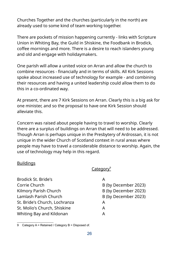Churches Together and the churches (particularly in the north) are already used to some kind of team working together.

There are pockets of mission happening currently - links with Scripture Union in Whiting Bay, the Guild in Shiskine, the Foodbank in Brodick, coffee mornings and more. There is a desire to reach islanders young and old and engage with holidaymakers.

One parish will allow a united voice on Arran and allow the church to combine resources - financially and in terms of skills. All Kirk Sessions spoke about increased use of technology for example - and combining their resources and having a united leadership could allow them to do this in a co-ordinated way.

At present, there are 7 Kirk Sessions on Arran. Clearly this is a big ask for one minister, and so the proposal to have one Kirk Session should alleviate this.

Concern was raised about people having to travel to worship. Clearly there are a surplus of buildings on Arran that will need to be addressed. Though Arran is perhaps unique in the Presbytery of Ardrossan, it is not unique in the wider Church of Scotland context in rural areas where people may have to travel a considerable distance to worship. Again, the use of technology may help in this regard.

#### Buildings

## <span id="page-25-0"></span>Category<sup>9</sup>

| <b>Brodick St. Bride's</b>    |                      |
|-------------------------------|----------------------|
| Corrie Church                 | B (by December 2023) |
| Kilmory Parish Church         | B (by December 2023) |
| Lamlash Parish Church         | B (by December 2023) |
| St. Bride's Church, Lochranza | A                    |
| St. Molio's Church, Shiskine  | A                    |
| Whiting Bay and Kildonan      |                      |

<span id="page-25-1"></span>[9](#page-25-0) Category A = Retained / Category B = Disposed of.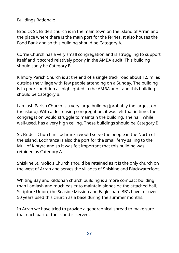## Buildings Rationale

Brodick St. Bride's church is in the main town on the Island of Arran and the place where there is the main port for the ferries. It also houses the Food Bank and so this building should be Category A.

Corrie Church has a very small congregation and is struggling to support itself and it scored relatively poorly in the AMBA audit. This building should sadly be Category B.

Kilmory Parish Church is at the end of a single track road about 1.5 miles outside the village with few people attending on a Sunday. The building is in poor condition as highlighted in the AMBA audit and this building should be Category B.

Lamlash Parish Church is a very large building (probably the largest on the island). With a decreasing congregation, it was felt that in time, the congregation would struggle to maintain the building. The hall, while well-used, has a very high ceiling. These buildings should be Category B.

St. Bride's Church in Lochranza would serve the people in the North of the Island. Lochranza is also the port for the small ferry sailing to the Mull of Kintyre and so it was felt important that this building was retained as Category A.

Shiskine St. Molio's Church should be retained as it is the only church on the west of Arran and serves the villages of Shiskine and Blackwaterfoot.

Whiting Bay and Kildonan church building is a more compact building than Lamlash and much easier to maintain alongside the attached hall. Scripture Union, the Seaside Mission and Eaglesham BB's have for over 50 years used this church as a base during the summer months.

In Arran we have tried to provide a geographical spread to make sure that each part of the island is served.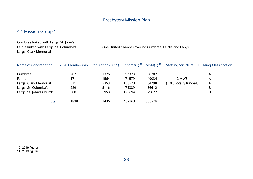## <span id="page-27-2"></span><span id="page-27-0"></span>Presbytery Mission Plan

## 4.1 Mission Group 1

Cumbrae linked with Largs: St. John's Largs: Clark Memorial

Fairlie linked with Largs: St. Columba's → One United Charge covering Cumbrae, Fairlie and Largs.

| Name of Congregation     | 2020 Membership | Population (2011) | Income( $E$ ) <sup>10</sup> | $M\&M(E)^{11}$ | <b>Staffing Structure</b> | <b>Building Classification</b> |
|--------------------------|-----------------|-------------------|-----------------------------|----------------|---------------------------|--------------------------------|
| Cumbrae                  | 207             | 1376              | 57378                       | 38207          |                           | A                              |
| Fairlie                  | 171             | 1564              | 71579                       | 49034          | 2 MWS                     | A                              |
| Largs: Clark Memorial    | 571             | 3353              | 138323                      | 84798          | (+ 0.5 locally funded)    | A                              |
| Largs: St. Columba's     | 289             | 5116              | 74389                       | 56612          |                           | B                              |
| Largs: St. John's Church | 600             | 2958              | 125694                      | 79627          |                           | B                              |
| Total                    | 1838            | 14367             | 467363                      | 308278         |                           |                                |

<span id="page-27-3"></span><span id="page-27-1"></span>[10](#page-27-0) 2019 figures. [11](#page-27-2) 2019 figures.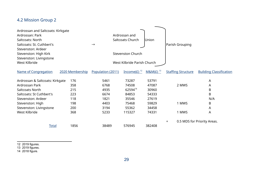## 4.2 Mission Group 2

<span id="page-28-2"></span><span id="page-28-0"></span>

| Ardrossan and Saltcoats: Kirkgate<br>Ardrossan: Park<br>Saltcoats: North<br>Saltcoats: St. Cuthbert's<br>Stevenston: Ardeer<br>Stevenston: High Kirk<br>Stevenston: Livingstone<br>West Kilbride |                                                      | $\rightarrow$                                                | Ardrossan and<br>Saltcoats Church<br><b>Stevenston Church</b><br>West Kilbride Parish Church | Parish Grouping                                                      |                           |                                        |  |  |  |
|--------------------------------------------------------------------------------------------------------------------------------------------------------------------------------------------------|------------------------------------------------------|--------------------------------------------------------------|----------------------------------------------------------------------------------------------|----------------------------------------------------------------------|---------------------------|----------------------------------------|--|--|--|
| <b>Name of Congregation</b>                                                                                                                                                                      | 2020 Membership                                      | Population (2011)                                            | Income( $E$ ) <sup>12</sup>                                                                  | $M8M(E)^{13}$                                                        | <b>Staffing Structure</b> | <b>Building Classification</b>         |  |  |  |
| Ardrossan & Saltcoats: Kirkgate<br>Ardrossan Park<br>Saltcoats North<br>Saltcoats: St Cuthbert's<br>Stevenston: Ardeer<br>Stevenston: High<br>Stevenston: Livingstone<br>West Kilbride           | 176<br>358<br>215<br>223<br>118<br>198<br>200<br>368 | 5461<br>6768<br>4935<br>6674<br>1821<br>4403<br>3194<br>5233 | 73287<br>74508<br>6259414<br>84853<br>35546<br>75468<br>55362<br>115327                      | 53791<br>47087<br>30960<br>54333<br>27619<br>59829<br>34458<br>74331 | 2 MWS<br>1 MWS<br>1 MWS   | A<br>A<br>B<br>B<br>N/A<br>Β<br>A<br>A |  |  |  |
| <b>Total</b>                                                                                                                                                                                     | 1856                                                 | 38489                                                        | 576945                                                                                       | 382408                                                               | $\pm$                     | 0.5 MDS for Priority Areas.            |  |  |  |

<span id="page-28-4"></span><span id="page-28-1"></span>[12](#page-28-0) 2019 figures.

<span id="page-28-3"></span>[13](#page-28-2) 2019 figures.

<span id="page-28-5"></span>[14](#page-28-4) 2018 figure.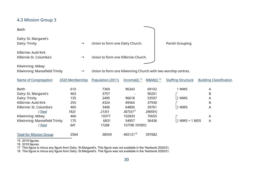## 4.3 Mission Group 3

<span id="page-29-2"></span><span id="page-29-0"></span>

| <b>Beith</b>                                        |                 |                                                               |                                     |                |                           |                                |  |  |  |  |  |  |  |
|-----------------------------------------------------|-----------------|---------------------------------------------------------------|-------------------------------------|----------------|---------------------------|--------------------------------|--|--|--|--|--|--|--|
| Dalry: St. Margaret's<br>Dalry: Trinity             | $\rightarrow$   | Union to form one Dalry Church.                               |                                     |                | Parish Grouping           |                                |  |  |  |  |  |  |  |
| Kilbirnie: Auld Kirk<br>Kilbirnie St. Columba's     | $\rightarrow$   |                                                               | Union to form one Kilbirnie Church. |                |                           |                                |  |  |  |  |  |  |  |
| Kilwinning: Abbey<br>Kilwinning: Mansefield Trinity | $\rightarrow$   | Union to form one Kilwinning Church with two worship centres. |                                     |                |                           |                                |  |  |  |  |  |  |  |
| <b>Name of Congregation</b>                         | 2020 Membership | Population (2011)                                             | $Income(E)15$                       | $M\&M(E)^{16}$ | <b>Staffing Structure</b> | <b>Building Classification</b> |  |  |  |  |  |  |  |
| <b>Beith</b>                                        | 610             | 7369                                                          | 96343                               | 69102          | 1 MWS                     | A                              |  |  |  |  |  |  |  |
| Dalry: St. Margaret's                               | 463             | 3757                                                          |                                     | 90201          |                           | B                              |  |  |  |  |  |  |  |
| Dalry: Trinity                                      | 135             | 2495                                                          | 96618                               | 53597          | 1 MWS                     | A                              |  |  |  |  |  |  |  |
| Kilbirnie: Auld Kirk                                | 255             | 4324                                                          | 49564                               | 37930          |                           | B                              |  |  |  |  |  |  |  |
| Kilbirnie: St. Columba's                            | 460             | 3406                                                          | 64806                               | 39761          | 1 MWS                     | A                              |  |  |  |  |  |  |  |
| (Total                                              | 1923            | 21351                                                         | $307331^{17}$                       | 290591)        |                           |                                |  |  |  |  |  |  |  |
| Kilwinning: Abbey                                   | 466             | 10377                                                         | 102833                              | 70655          |                           | A                              |  |  |  |  |  |  |  |
| Kilwinning: Mansefield Trinity                      | 175             | 6831                                                          | 54957                               | 36436          | $1$ MWS + 1 MDS           | A                              |  |  |  |  |  |  |  |
| <u> Total</u>                                       | 641             | 17208                                                         | 157790 107091)                      |                |                           |                                |  |  |  |  |  |  |  |
| <b>Total for Mission Group</b>                      | 2564            | 38559                                                         | 465121 <sup>18</sup>                | 397682         |                           |                                |  |  |  |  |  |  |  |

<span id="page-29-4"></span><span id="page-29-1"></span>[15](#page-29-0) 2019 figures.

<span id="page-29-6"></span><span id="page-29-3"></span>[16](#page-29-2) 2019 figures.

<span id="page-29-5"></span>[17](#page-29-4) This figure is minus any figure from Dalry: St.Margaret's. This figure was not available in the Yearbook 2020/21.

<span id="page-29-7"></span>[18](#page-29-6) This figure is minus any figure from Dalry: St.Margaret's. This figure was not available in the Yearbook 2020/21.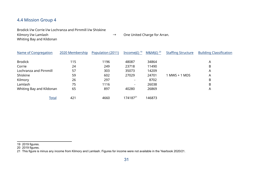#### 4.4 Mission Group 4

Brodick l/w Corrie l/w Lochranza and Pirnmill l/w Shiskine

Whiting Bay and Kildonan

Kilmory I/w Lamlash  $\rightarrow$  One United Charge for Arran.

<span id="page-30-4"></span><span id="page-30-2"></span><span id="page-30-0"></span>Name of Congregation 2020 Membership Population (2011) Income(£)<sup>19</sup>M&M(£)<sup>20</sup> **StaffingStructure** Building Classification Brodick 115 1196 48087 34864 A Corrie 24 249 23718 11490 B Lochranza and Pirnmill 57 303 35073 14209 A Shiskine 59 602 27029 24701 1 MWS + 1 MDS A Kilmory 26 297 - 8702 B Lamlash 75 1116 - 26038 B Whiting Bay and Kildonan 65 65 897 40280 26869 889 A Total 4[21](#page-30-5) 4660 174187<sup>21</sup> 146873

<span id="page-30-1"></span>[19](#page-30-0) 2019 figures.

<span id="page-30-3"></span>[20](#page-30-2) 2019 figures.

<span id="page-30-5"></span>[21](#page-30-4) This figure is minus any income from Kilmory and Lamlash. Figures for income were not available in the Yearbook 2020/21.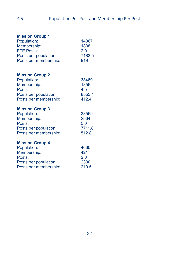| <b>Mission Group 1</b><br>Population:<br>Membership:<br><b>FTE Posts:</b><br>Posts per population:<br>Posts per membership: | 14367<br>1838<br>2.0<br>7183.5<br>919   |
|-----------------------------------------------------------------------------------------------------------------------------|-----------------------------------------|
| <b>Mission Group 2</b><br>Population:<br>Membership:<br>Posts:<br>Posts per population:<br>Posts per membership:            | 38489<br>1856<br>4.5<br>8553.1<br>412.4 |
| <b>Mission Group 3</b><br>Population:<br>Membership:<br>Posts:<br>Posts per population:<br>Posts per membership:            | 38559<br>2564<br>5.0<br>7711.8<br>512.8 |
| <b>Mission Group 4</b><br>Population:<br>Membership:<br>Posts:<br>Posts per population:<br>Posts per membership:            | 4660<br>421<br>2.0<br>2330<br>210.5     |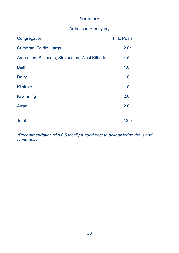## Summary

## Ardrossan Presbytery

| Congregation                                    | <b>FTE Posts</b> |
|-------------------------------------------------|------------------|
| Cumbrae, Fairlie, Largs                         | $2.0*$           |
| Ardrossan, Saltcoats, Stevenston, West Kilbride | 4.5              |
| <b>Beith</b>                                    | 1.0              |
| <b>Dalry</b>                                    | 1.0              |
| <b>Kilbirnie</b>                                | 1.0              |
| Kilwinning                                      | 2.0              |
| Arran                                           | 2.0              |
| <b>Total</b>                                    | 13.5             |
|                                                 |                  |

*\*Recommendation of a 0.5 locally funded post to acknowledge the island community.*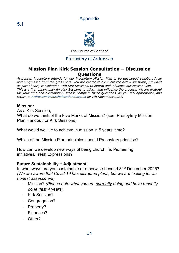## Appendix



The Church of Scotland

#### Presbytery of Ardrossan

#### **Mission Plan Kirk Session Consultation – Discussion Questions**

*Ardrossan Presbytery intends for our Presbytery Mission Plan to be developed collaboratively and progressed from the grassroots. You are invited to complete the below questions, provided as part of early consultation with Kirk Sessions, to inform and influence our Mission Plan. This is a first opportunity for Kirk Sessions to inform and influence the process. We are grateful for your time and contribution. Please complete these questions, as you feel appropriate, and return to [Ardrossan@churchofscotland.org.uk](mailto:Ardrossan@churchofscotland.org.uk) by 7th November 2021.*

#### **Mission:**

As a Kirk Session, What do we think of the Five Marks of Mission? (see: Presbytery Mission Plan Handout for Kirk Sessions)

What would we like to achieve in mission in 5 years' time?

Which of the Mission Plan principles should Presbytery prioritise?

How can we develop new ways of being church, ie. Pioneering initiatives/Fresh Expressions?

#### **Future Sustainability + Adjustment:**

In what ways are you sustainable or otherwise beyond 31<sup>st</sup> December 2025? *(We are aware that Covid-19 has disrupted plans, but we are looking for an honest assessment).*

- *-* Mission? *(Please note what you are currently doing and have recently done (last 4 years).*
- Kirk Session?
- Congregation?
- Property?
- Finances?
- Other?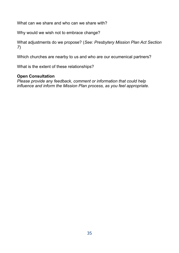What can we share and who can we share with?

Why would we wish not to embrace change?

What adjustments do we propose? (*See: Presbytery Mission Plan Act Section 7*)

Which churches are nearby to us and who are our ecumenical partners?

What is the extent of these relationships?

#### **Open Consultation**

*Please provide any feedback, comment or information that could help influence and inform the Mission Plan process, as you feel appropriate.*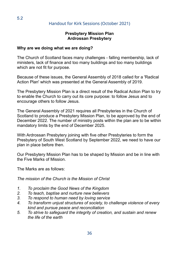## Handout for Kirk Sessions (October 2021)

#### **Presbytery Mission Plan Ardrossan Presbytery**

#### **Why are we doing what we are doing?**

The Church of Scotland faces many challenges - falling membership, lack of ministers, lack of finance and too many buildings and too many buildings which are not fit for purpose.

Because of these issues, the General Assembly of 2018 called for a 'Radical Action Plan' which was presented at the General Assembly of 2019.

The Presbytery Mission Plan is a direct result of the Radical Action Plan to try to enable the Church to carry out its core purpose: to follow Jesus and to encourage others to follow Jesus.

The General Assembly of 2021 requires all Presbyteries in the Church of Scotland to produce a Presbytery Mission Plan, to be approved by the end of December 2022. The number of ministry posts within the plan are to be within mandatory limits by the end of December 2025.

With Ardrossan Presbytery joining with five other Presbyteries to form the Presbytery of South West Scotland by September 2022, we need to have our plan in place before then.

Our Presbytery Mission Plan has to be shaped by Mission and be in line with the Five Marks of Mission.

The Marks are as follows:

*The mission of the Church is the Mission of Christ*

- *1. To proclaim the Good News of the Kingdom*
- *2. To teach, baptise and nurture new believers*
- *3. To respond to human need by loving service*
- *4. To transform unjust structures of society, to challenge violence of every kind and pursue peace and reconciliation*
- *5. To strive to safeguard the integrity of creation, and sustain and renew the life of the earth*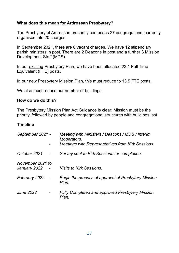#### **What does this mean for Ardrossan Presbytery?**

The Presbytery of Ardrossan presently comprises 27 congregations, currently organised into 20 charges.

In September 2021, there are 8 vacant charges. We have 12 stipendiary parish ministers in post. There are 2 Deacons in post and a further 3 Mission Development Staff (MDS).

In our existing Presbytery Plan, we have been allocated 23.1 Full Time Equivalent (FTE) posts.

In our new Presbytery Mission Plan, this must reduce to 13.5 FTE posts.

We also must reduce our number of buildings.

#### **How do we do this?**

The Presbytery Mission Plan Act Guidance is clear: Mission must be the priority, followed by people and congregational structures with buildings last.

#### **Timeline**

| September 2021 -                 |        | Meeting with Ministers / Deacons / MDS / Interim<br>Moderators.<br><b>Meetings with Representatives from Kirk Sessions.</b> |
|----------------------------------|--------|-----------------------------------------------------------------------------------------------------------------------------|
| October 2021                     |        | Survey sent to Kirk Sessions for completion.                                                                                |
| November 2021 to<br>January 2022 |        | <b>Visits to Kirk Sessions.</b>                                                                                             |
| February 2022                    | $\sim$ | Begin the process of approval of Presbytery Mission<br>Plan.                                                                |
| <b>June 2022</b>                 |        | <b>Fully Completed and approved Presbytery Mission</b><br>Plan.                                                             |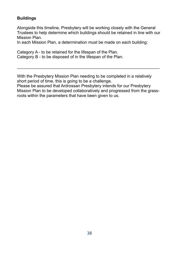#### **Buildings**

Alongside this timeline, Presbytery will be working closely with the General Trustees to help determine which buildings should be retained in line with our Mission Plan.

In each Mission Plan, a determination must be made on each building:

Category A - to be retained for the lifespan of the Plan. Category B - to be disposed of in the lifespan of the Plan.

With the Presbytery Mission Plan needing to be completed in a relatively short period of time, this is going to be a challenge.

Please be assured that Ardrossan Presbytery intends for our Presbytery Mission Plan to be developed collaboratively and progressed from the grassroots within the parameters that have been given to us.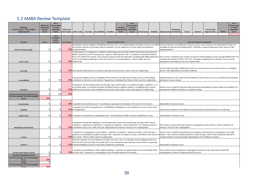# 5.3 AMBA Review Template

| <b>Building</b> ;<br>Church only or Church With<br><b>Adjoining Hall</b>    | Minimum<br><b>Standards</b><br>Church<br>Score | As a<br>ercentage<br>of Total<br><b>Available</b><br>Score | <b>Wind and</b> | Watertight $ $ Safe to Use $ $ |                                                                                                                                                                                                                                                | Security Accessibility                                                                | <b>Facilities</b> | Location<br>Assessment<br>Score | As a<br>Percentage<br>of Total<br><b>Available</b><br>Score | Streetscape                                                                                                                                                                                                                                                                                                                       | Viability | Adjacencies and Identity | <b>Belonging</b>                                       | Travel | <b>Clusters</b>                  | Partnership<br><b>Opportunities</b>                                                                                                                                                                                                                                                                 | <b>TOTAL</b> | As a<br>ercentage <sup></sup><br>of Total<br><b>Available</b><br>Score |
|-----------------------------------------------------------------------------|------------------------------------------------|------------------------------------------------------------|-----------------|--------------------------------|------------------------------------------------------------------------------------------------------------------------------------------------------------------------------------------------------------------------------------------------|---------------------------------------------------------------------------------------|-------------------|---------------------------------|-------------------------------------------------------------|-----------------------------------------------------------------------------------------------------------------------------------------------------------------------------------------------------------------------------------------------------------------------------------------------------------------------------------|-----------|--------------------------|--------------------------------------------------------|--------|----------------------------------|-----------------------------------------------------------------------------------------------------------------------------------------------------------------------------------------------------------------------------------------------------------------------------------------------------|--------------|------------------------------------------------------------------------|
|                                                                             |                                                | <b>Total</b><br><b>Available</b><br>within                 |                 |                                |                                                                                                                                                                                                                                                |                                                                                       |                   |                                 |                                                             |                                                                                                                                                                                                                                                                                                                                   |           |                          |                                                        |        |                                  |                                                                                                                                                                                                                                                                                                     |              |                                                                        |
| <b>Section</b>                                                              | Score                                          | <b>Section</b>                                             | % of Total      |                                |                                                                                                                                                                                                                                                |                                                                                       |                   | <b>Source of the Scores</b>     |                                                             |                                                                                                                                                                                                                                                                                                                                   |           |                          |                                                        |        | <b>How Can Score be Improved</b> |                                                                                                                                                                                                                                                                                                     |              |                                                                        |
|                                                                             | U                                              |                                                            |                 |                                |                                                                                                                                                                                                                                                |                                                                                       |                   |                                 |                                                             | the section. Based on QQ report where available. Can be subjective to some extent but quidance                                                                                                                                                                                                                                    |           |                          |                                                        |        |                                  | 4 questions on the condition of building elements and 1 on maintainability contribute to the score within Can be expensive and difficult to improve a poor score however not impossible if funds are<br>available to improve the building fabric. Difficulty / expense depends on the nature of the |              |                                                                        |
| <b>Wind and Watertight</b>                                                  |                                                | 15                                                         |                 | 0% should limit this.          |                                                                                                                                                                                                                                                |                                                                                       |                   |                                 |                                                             | 10 Questions on compliance in relation to the testing and servicing of H&S mechanical and electrical                                                                                                                                                                                                                              |           | building defects.        |                                                        |        |                                  |                                                                                                                                                                                                                                                                                                     |              |                                                                        |
|                                                                             |                                                |                                                            |                 |                                |                                                                                                                                                                                                                                                |                                                                                       |                   |                                 |                                                             | (M&E) systems (e.g. PAT testing), plus 1 generic H&S question and 1 on asbestos contribute towards                                                                                                                                                                                                                                |           |                          |                                                        |        |                                  | the scores within the section. The scoring is based on the principal that a building with M&E equipment This can be a relatively easy section to improve if the building can be managed differently. For                                                                                            |              |                                                                        |
|                                                                             |                                                |                                                            |                 |                                |                                                                                                                                                                                                                                                |                                                                                       |                   |                                 |                                                             | (such as emergency lighting) is safer but only if it is serviced properly. There is little room for                                                                                                                                                                                                                               |           |                          |                                                        |        |                                  | example instructing an EICR / PAT test / emergency lighting test / asbestos survey can be                                                                                                                                                                                                           |              |                                                                        |
| Safe to Use                                                                 | O                                              | 15                                                         |                 | 0% subjectivity.               | inexpensive and improve the score significantly.                                                                                                                                                                                               |                                                                                       |                   |                                 |                                                             |                                                                                                                                                                                                                                                                                                                                   |           |                          |                                                        |        |                                  |                                                                                                                                                                                                                                                                                                     |              |                                                                        |
| Security                                                                    | O                                              | З                                                          |                 |                                | Can be improved with modifications such as restricting access to certain areas or installing<br>0% One question that looks at a variety of possible security issues. Some room for subjectivity.<br>alarms. Also dependent on location however |                                                                                       |                   |                                 |                                                             |                                                                                                                                                                                                                                                                                                                                   |           |                          |                                                        |        |                                  |                                                                                                                                                                                                                                                                                                     |              |                                                                        |
| Accessibility                                                               | O                                              | 10                                                         |                 |                                |                                                                                                                                                                                                                                                |                                                                                       |                   |                                 |                                                             | 3 questions looking at the accessibility of the entrance, the internals and the access to the building<br>0% contribute to the score in the section. If guidance is followed then there is little room for subjectivity.                                                                                                          |           |                          | parking or access ramps).                              |        |                                  | Improvements can be made to the building to improve this score (e.g. introducing of disabled                                                                                                                                                                                                        |              |                                                                        |
| <b>Facilities</b>                                                           | 0                                              | 22                                                         |                 |                                |                                                                                                                                                                                                                                                |                                                                                       |                   |                                 |                                                             | 3 questions on the heating system (coverage, age, system type), 2 on toilets (number, condition), 1 on<br>accessible toilet, 2 on kitchen facilities (facilities present, hygiene safety), 3 on lighting (LED, access,<br>0% sufficiency) and one on AV contribute to the score in this section. Not much space for subjectivity. |           |                          | example the addition of toilets or a kitchen facility. |        |                                  | Section score could be improved with investment depending on space within the building. For                                                                                                                                                                                                         |              |                                                                        |
|                                                                             |                                                |                                                            |                 |                                |                                                                                                                                                                                                                                                |                                                                                       |                   |                                 |                                                             |                                                                                                                                                                                                                                                                                                                                   |           |                          |                                                        |        |                                  |                                                                                                                                                                                                                                                                                                     |              |                                                                        |
| <b>Minimum Standards Church Score</b><br>As a Percentage of Total Available | $\Omega$                                       | 65                                                         | 0%              |                                |                                                                                                                                                                                                                                                |                                                                                       |                   |                                 |                                                             |                                                                                                                                                                                                                                                                                                                                   |           |                          |                                                        |        |                                  |                                                                                                                                                                                                                                                                                                     |              |                                                                        |
| Score                                                                       | 0%                                             |                                                            |                 |                                |                                                                                                                                                                                                                                                |                                                                                       |                   |                                 |                                                             |                                                                                                                                                                                                                                                                                                                                   |           |                          |                                                        |        |                                  |                                                                                                                                                                                                                                                                                                     |              |                                                                        |
| Streetscape                                                                 | O                                              | 2                                                          |                 |                                |                                                                                                                                                                                                                                                |                                                                                       |                   |                                 |                                                             | 0% 1 question on prominence and 1 on setting in a graveyard contribute to the score in the section.                                                                                                                                                                                                                               |           |                          | Impossible to improve score.                           |        |                                  |                                                                                                                                                                                                                                                                                                     |              |                                                                        |
| Viability                                                                   | O                                              | 6                                                          |                 | 0% for subjectivity.           |                                                                                                                                                                                                                                                |                                                                                       |                   |                                 |                                                             | question on room for growth and 1 on flexibility of buildings on site contribute to score. Some room                                                                                                                                                                                                                              |           |                          |                                                        |        |                                  | Very hard to improve score without extensive internal refurbishment or reordering.                                                                                                                                                                                                                  |              |                                                                        |
| Adjacencies                                                                 | C                                              | 2                                                          |                 |                                |                                                                                                                                                                                                                                                |                                                                                       |                   |                                 |                                                             | 0% 1 question on proximity to a population and 1 on proximity to public services contribute to score.                                                                                                                                                                                                                             |           |                          | Impossible to improve score.                           |        |                                  |                                                                                                                                                                                                                                                                                                     |              |                                                                        |
| <b>Belonging and Identity</b>                                               | O                                              | 17                                                         |                 |                                |                                                                                                                                                                                                                                                |                                                                                       |                   |                                 |                                                             | 4 questions on how the building is used (ceremonies, social and fundraising, worship, other church<br>activities), 1 question on volunteers, 1 question on website / social media and 1 on ministry provision<br>0% contribute to the score. Little room for subjectivity but requires honesty from congregation.                 |           |                          | energy / vision for the congregation.                  |        |                                  | This section can be improved should a congregation grow (union) or with an injection of                                                                                                                                                                                                             |              |                                                                        |
| <b>Travel</b>                                                               | O                                              | 11                                                         |                 |                                |                                                                                                                                                                                                                                                | <b>0%</b> this section. There is little scope for subjectivity.                       |                   |                                 |                                                             | I question on congregation travel habits, 1 question on parking, 1 question on bike / pram storage, 1<br>question on availability of public transport and 1 question on impact to locals contribute to the scores                                                                                                                 |           |                          |                                                        |        |                                  | Section score could be improved by encouraging / educating the congregation to change<br>habits or the creation of dedicated pram / bike storage. Other factors would be difficult to<br>change however may be possible depending on the building's situation.                                      |              |                                                                        |
| <b>Clusters</b>                                                             |                                                | 5                                                          |                 |                                |                                                                                                                                                                                                                                                | 0% remote buildings to ensure it has been answered consistently.                      |                   |                                 |                                                             | Only one question on travel distance to other churches. This is to identify church buildings which are<br>very remote and need special consideration. Care should be taken with this section when comparing                                                                                                                       |           |                          | Impossible to improve score.                           |        |                                  |                                                                                                                                                                                                                                                                                                     |              |                                                                        |
| <b>Partnership Opportunities</b>                                            | O                                              | q                                                          |                 |                                |                                                                                                                                                                                                                                                | <b>0%</b> services and 1 question on congregation size contribute towards the answer. |                   |                                 |                                                             | question on availability of other public buildings, 1 question on opportunities to accommodate other                                                                                                                                                                                                                              |           |                          | congregations control of improving section score.      |        |                                  | Successful mission resulting in congregation increase is the only means within the                                                                                                                                                                                                                  |              |                                                                        |
| <b>Location Assessment Score</b>                                            | 0                                              |                                                            |                 |                                |                                                                                                                                                                                                                                                |                                                                                       |                   |                                 |                                                             |                                                                                                                                                                                                                                                                                                                                   |           |                          |                                                        |        |                                  |                                                                                                                                                                                                                                                                                                     |              |                                                                        |
| As a Percentage of Total Available<br>Score                                 | 0%                                             |                                                            |                 |                                |                                                                                                                                                                                                                                                |                                                                                       |                   |                                 |                                                             |                                                                                                                                                                                                                                                                                                                                   |           |                          |                                                        |        |                                  |                                                                                                                                                                                                                                                                                                     |              |                                                                        |
| <b>TOTAL</b><br>As a Percentage of Total Available                          | $\Omega$                                       |                                                            |                 |                                |                                                                                                                                                                                                                                                |                                                                                       |                   |                                 |                                                             |                                                                                                                                                                                                                                                                                                                                   |           |                          |                                                        |        |                                  |                                                                                                                                                                                                                                                                                                     |              |                                                                        |
| Score                                                                       | 0%                                             |                                                            |                 |                                |                                                                                                                                                                                                                                                |                                                                                       |                   |                                 |                                                             |                                                                                                                                                                                                                                                                                                                                   |           |                          |                                                        |        |                                  |                                                                                                                                                                                                                                                                                                     |              |                                                                        |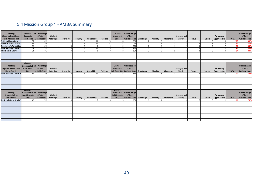# 5.4 Mission Group 1 - AMBA Summary

| Building;<br>Church only or Church<br>With Adjoining Hall | Minimum<br><b>Standards</b> | As a Percentage<br>of Total<br>Church Score   Available Score | Wind and<br>Watertight | Safe to Use | Security | Accessibility | <b>Facilities</b> | Location<br>Assessment<br>Score | As a Percentage<br>of Total<br>Available Score Streetscape |             | Viability | Adjacencies | <b>Belonging and</b><br>Identity | <b>Travel</b> | <b>Clusters</b> | Partnership<br><b>Opportunities</b> | <b>TOTAL</b> | As a Percentage<br>of Total<br><b>Available Score</b> |
|-----------------------------------------------------------|-----------------------------|---------------------------------------------------------------|------------------------|-------------|----------|---------------|-------------------|---------------------------------|------------------------------------------------------------|-------------|-----------|-------------|----------------------------------|---------------|-----------------|-------------------------------------|--------------|-------------------------------------------------------|
| St John's Church Largs                                    |                             | 88%                                                           |                        |             |          |               |                   |                                 | 88%                                                        |             |           |             |                                  |               |                 |                                     | 103          | 88%                                                   |
| <b>Cumbrae Parish Church</b>                              | 56                          | 86%                                                           | $\overline{15}$        |             |          |               | 21                |                                 | 79%                                                        |             |           |             |                                  |               |                 |                                     | 97           | 83%                                                   |
| St. Columba's Parish Chur                                 | $\overline{54}$             | 83%                                                           | 15                     |             |          |               | 19                |                                 | 81%                                                        |             |           |             | 17                               |               |                 |                                     | 96           | 82%                                                   |
| <b>Clark Memorial Church</b>                              | $\overline{51}$             | 78%                                                           | $\overline{15}$        |             |          |               | $\overline{15}$   | 43                              | 83%                                                        |             |           |             | 17                               |               |                 |                                     | 94           | 80%                                                   |
| <b>Fairlie Parish Church</b>                              | 51                          | 78%                                                           | 15                     |             |          |               | 19                | 43                              | 83%                                                        |             |           |             | 15                               |               |                 |                                     | 0A           | 80%                                                   |
|                                                           |                             |                                                               |                        |             |          |               |                   |                                 |                                                            |             |           |             |                                  |               |                 |                                     |              |                                                       |
|                                                           |                             |                                                               |                        |             |          |               |                   |                                 |                                                            |             |           |             |                                  |               |                 |                                     |              |                                                       |
|                                                           |                             |                                                               |                        |             |          |               |                   |                                 |                                                            |             |           |             |                                  |               |                 |                                     |              |                                                       |
|                                                           |                             |                                                               |                        |             |          |               |                   |                                 |                                                            |             |           |             |                                  |               |                 |                                     |              |                                                       |
|                                                           | Minimum                     |                                                               |                        |             |          |               |                   |                                 |                                                            |             |           |             |                                  |               |                 |                                     |              |                                                       |
| <b>Building;</b>                                          |                             | Standards Hall As a Percentage                                |                        |             |          |               |                   | Location                        | As a Percentage                                            |             |           |             |                                  |               |                 |                                     |              | As a Percentage                                       |
| Separate Hall on Same                                     | Score (Same                 | of Total                                                      | <b>Wind and</b>        |             |          |               |                   | Assessment                      | of Total                                                   |             |           |             | <b>Belonging and</b>             |               |                 | Partnership                         |              | of Total                                              |
| Site as Church                                            | Site)                       | Available Score                                               | Watertight             | Safe to Use | Security | Accessibility | <b>Facilities</b> |                                 | Hall (Same Site) Available Score                           | Streetscape | Viability | Adjacencies | Identity                         | <b>Travel</b> | Clusters        | Opportunities                       | <b>TOTAL</b> | <b>Available Score</b>                                |
| <b>Clark Memorial Church Ha</b>                           | 57                          | 88%                                                           |                        |             |          |               |                   |                                 | 83%                                                        |             |           |             |                                  |               |                 |                                     | 100          | 85%                                                   |
|                                                           |                             |                                                               |                        |             |          |               |                   |                                 |                                                            |             |           |             |                                  |               |                 |                                     |              |                                                       |
|                                                           |                             |                                                               |                        |             |          |               |                   |                                 |                                                            |             |           |             |                                  |               |                 |                                     |              |                                                       |
|                                                           |                             |                                                               |                        |             |          |               |                   |                                 |                                                            |             |           |             |                                  |               |                 |                                     |              |                                                       |
|                                                           |                             |                                                               |                        |             |          |               |                   |                                 |                                                            |             |           |             |                                  |               |                 |                                     |              |                                                       |
|                                                           |                             |                                                               |                        |             |          |               |                   |                                 |                                                            |             |           |             |                                  |               |                 |                                     |              |                                                       |
|                                                           |                             |                                                               |                        |             |          |               |                   |                                 |                                                            |             |           |             |                                  |               |                 |                                     |              |                                                       |
|                                                           | <b>Minimum</b>              |                                                               |                        |             |          |               |                   | Location                        |                                                            |             |           |             |                                  |               |                 |                                     |              |                                                       |
| <b>Building;</b>                                          |                             | Standards Hall As a Percentage                                |                        |             |          |               |                   | Assessment                      | As a Percentage                                            |             |           |             |                                  |               |                 |                                     |              | As a Percentage                                       |
| Separate Hall on                                          | Score (Separate             | of Total                                                      | Wind and               |             |          |               |                   | Hall (Separate                  | of Total                                                   |             |           |             | <b>Belonging and</b>             |               |                 | Partnership                         |              | of Total                                              |
| <b>Separate Site</b>                                      | Site)                       | Available Score                                               | Watertight             | Safe to Use | Security | Accessibility | <b>Facilities</b> | Site)                           | Available Score Streetscape                                |             | Viability | Adjacencies | Identity                         | <b>Travel</b> | Clusters        | Opportunities                       | <b>TOTAL</b> | <b>Available Score</b>                                |
| Toc H Hall - Largs St John's                              |                             | 73%                                                           | 15                     |             |          |               | 1 <sub>A</sub>    |                                 | 65%                                                        |             |           |             |                                  |               |                 |                                     |              | 70%                                                   |
|                                                           |                             |                                                               |                        |             |          |               |                   |                                 |                                                            |             |           |             |                                  |               |                 |                                     |              |                                                       |
|                                                           |                             |                                                               |                        |             |          |               |                   |                                 |                                                            |             |           |             |                                  |               |                 |                                     |              |                                                       |
|                                                           |                             |                                                               |                        |             |          |               |                   |                                 |                                                            |             |           |             |                                  |               |                 |                                     |              |                                                       |
|                                                           |                             |                                                               |                        |             |          |               |                   |                                 |                                                            |             |           |             |                                  |               |                 |                                     |              |                                                       |
|                                                           |                             |                                                               |                        |             |          |               |                   |                                 |                                                            |             |           |             |                                  |               |                 |                                     |              |                                                       |
|                                                           |                             |                                                               |                        |             |          |               |                   |                                 |                                                            |             |           |             |                                  |               |                 |                                     |              |                                                       |
|                                                           |                             |                                                               |                        |             |          |               |                   |                                 |                                                            |             |           |             |                                  |               |                 |                                     |              |                                                       |
|                                                           |                             |                                                               |                        |             |          |               |                   |                                 |                                                            |             |           |             |                                  |               |                 |                                     |              |                                                       |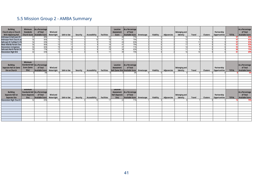# 5.5 Mission Group 2 - AMBA Summary

| Building;<br>Church only or Church<br>With Adjoining Hall          | Minimum<br><b>Standards</b>            | As a Percentage<br>of Total<br>Church Score Available Score   | Wind and<br>Watertight | Safe to Use | Security | Accessibility | <b>Facilities</b> | Location<br><b>Assessment</b><br>Score | As a Percentage<br>of Total<br>Available Score Streetscape      |             | Viability | Adjacencies | <b>Belonging and</b><br>Identity | Travel        | Clusters        | Partnership<br>Opportunities | <b>TOTAL</b> | As a Percentage<br>of Total<br><b>Available Score</b> |
|--------------------------------------------------------------------|----------------------------------------|---------------------------------------------------------------|------------------------|-------------|----------|---------------|-------------------|----------------------------------------|-----------------------------------------------------------------|-------------|-----------|-------------|----------------------------------|---------------|-----------------|------------------------------|--------------|-------------------------------------------------------|
| Ardrossan & Saltcoats Kir                                          |                                        | 88%                                                           |                        |             |          |               |                   | 40                                     | 779                                                             |             |           |             |                                  |               |                 |                              |              | 83%                                                   |
| <b>Ardrossan Park Church an</b>                                    | 56                                     | 86%                                                           | 15                     |             |          |               | 18                | 41                                     | 79%                                                             |             |           |             | 15                               |               |                 |                              |              | 83%<br>97                                             |
| <b>Saltcoats St Cuthbert's Ch</b>                                  | 54                                     | 83%                                                           | 11                     |             |          |               | 191               | 43                                     | 83%                                                             |             |           |             |                                  |               |                 |                              |              | 83%<br>97                                             |
| West Kilbride Parish Chur                                          | 56                                     | 86%                                                           | 15                     |             |          |               | 18                | 41                                     | 79%                                                             |             |           |             |                                  |               |                 |                              |              | 83%<br>97                                             |
| <b>Stevenston Livingstone</b>                                      | 56                                     | 86%                                                           | 15                     |             |          |               | $\overline{20}$   | $\overline{37}$                        | 71%                                                             |             |           |             | 1 <sub>1</sub>                   |               |                 |                              |              | 79%<br>93                                             |
| <b>Saltcoats North Parish Ch</b>                                   |                                        | 77%                                                           | $\overline{11}$        |             |          |               | $\overline{19}$   | $\overline{34}$                        | 65%                                                             |             |           |             | 11                               |               |                 |                              |              | 72%<br>84                                             |
| <b>Stevenston High Kirk</b>                                        | 42                                     | 65%                                                           | 13                     |             |          |               | 11                | 39                                     | 75%                                                             |             |           |             | 16                               | 10            |                 |                              | 81           | 69%                                                   |
|                                                                    |                                        |                                                               |                        |             |          |               |                   |                                        |                                                                 |             |           |             |                                  |               |                 |                              |              |                                                       |
|                                                                    |                                        |                                                               |                        |             |          |               |                   |                                        |                                                                 |             |           |             |                                  |               |                 |                              |              |                                                       |
|                                                                    |                                        |                                                               |                        |             |          |               |                   |                                        |                                                                 |             |           |             |                                  |               |                 |                              |              |                                                       |
| <b>Building;</b><br>Separate Hall on Same<br><b>Site as Church</b> | Minimum<br><b>Score (Same</b><br>Site) | Standards Hall As a Percentage<br>of Total<br>Available Score | Wind and<br>Watertight | Safe to Use | Security | Accessibility | <b>Facilities</b> | Location<br><b>Assessment</b>          | As a Percentage<br>of Total<br>Hall (Same Site) Available Score | Streetscape | Viability | Adjacencies | <b>Belonging and</b><br>Identity | <b>Travel</b> | <b>Clusters</b> | Partnership<br>Opportunities | <b>TOTAL</b> | As a Percentage<br>of Total<br><b>Available Score</b> |
|                                                                    |                                        |                                                               |                        |             |          |               |                   |                                        |                                                                 |             |           |             |                                  |               |                 |                              |              | 0%                                                    |
|                                                                    |                                        |                                                               |                        |             |          |               |                   |                                        |                                                                 |             |           |             |                                  |               |                 |                              |              |                                                       |
|                                                                    |                                        |                                                               |                        |             |          |               |                   |                                        |                                                                 |             |           |             |                                  |               |                 |                              |              |                                                       |
|                                                                    |                                        |                                                               |                        |             |          |               |                   |                                        |                                                                 |             |           |             |                                  |               |                 |                              |              |                                                       |
|                                                                    |                                        |                                                               |                        |             |          |               |                   |                                        |                                                                 |             |           |             |                                  |               |                 |                              |              |                                                       |
|                                                                    |                                        |                                                               |                        |             |          |               |                   |                                        |                                                                 |             |           |             |                                  |               |                 |                              |              |                                                       |
|                                                                    | <b>Minimum</b>                         |                                                               |                        |             |          |               |                   | Location                               |                                                                 |             |           |             |                                  |               |                 |                              |              |                                                       |
| <b>Building:</b>                                                   |                                        | Standards Hall As a Percentage                                |                        |             |          |               |                   |                                        | As a Percentage                                                 |             |           |             |                                  |               |                 |                              |              | As a Percentage                                       |
|                                                                    | Score (Separate                        |                                                               | Wind and               |             |          |               |                   | Assessment                             | of Total                                                        |             |           |             |                                  |               |                 |                              |              | of Total                                              |
| Separate Hall on                                                   |                                        | of Total                                                      |                        |             |          |               |                   | <b>Hall (Separate</b>                  |                                                                 |             |           |             | <b>Belonging and</b>             |               |                 | Partnership                  |              |                                                       |
| <b>Separate Site</b><br><b>Stevenston High Church F</b>            | Site)<br>52                            | <b>Available Score</b><br>83%                                 | Watertight             | Safe to Use | Security | Accessibility | Facilities<br>17  | Site)<br>22                            | Available Score Streetscape<br>71%                              |             | Viability | Adjacencies | Identity                         | Travel        | Clusters        | Opportunities                | <b>TOTAL</b> | <b>Available Score</b><br>79%                         |
|                                                                    |                                        |                                                               |                        |             |          |               |                   |                                        |                                                                 |             |           |             |                                  |               |                 |                              |              |                                                       |
|                                                                    |                                        |                                                               |                        |             |          |               |                   |                                        |                                                                 |             |           |             |                                  |               |                 |                              |              |                                                       |
|                                                                    |                                        |                                                               |                        |             |          |               |                   |                                        |                                                                 |             |           |             |                                  |               |                 |                              |              |                                                       |
|                                                                    |                                        |                                                               |                        |             |          |               |                   |                                        |                                                                 |             |           |             |                                  |               |                 |                              |              |                                                       |
|                                                                    |                                        |                                                               |                        |             |          |               |                   |                                        |                                                                 |             |           |             |                                  |               |                 |                              |              |                                                       |
|                                                                    |                                        |                                                               |                        |             |          |               |                   |                                        |                                                                 |             |           |             |                                  |               |                 |                              |              |                                                       |
|                                                                    |                                        |                                                               |                        |             |          |               |                   |                                        |                                                                 |             |           |             |                                  |               |                 |                              |              |                                                       |
|                                                                    |                                        |                                                               |                        |             |          |               |                   |                                        |                                                                 |             |           |             |                                  |               |                 |                              |              |                                                       |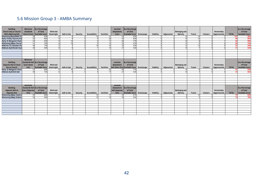# 5.6 Mission Group 3 - AMBA Summary

| <b>Building</b><br><b>Church only or Church</b><br><b>With Adjoining Hall</b> | <b>Minimum</b><br><b>Standards</b> | As a Percentage<br>of Total<br>Church Score   Available Score | Wind and<br>Watertight | Safe to Use     | Security | Accessibility | <b>Facilities</b> | Location<br>Assessment<br>Score | As a Percentage<br>of Total<br>Available Score Streetscape | Viability | Adjacencies | Belonging and<br>Identity | <b>Travel</b> | Clusters        | Partnership<br>Opportunities | <b>TOTAL</b> | As a Percentage<br>of Total<br><b>Available Score</b> |
|-------------------------------------------------------------------------------|------------------------------------|---------------------------------------------------------------|------------------------|-----------------|----------|---------------|-------------------|---------------------------------|------------------------------------------------------------|-----------|-------------|---------------------------|---------------|-----------------|------------------------------|--------------|-------------------------------------------------------|
| <b>Kilwinning Mansefield Tri</b>                                              |                                    | 89%                                                           |                        |                 |          |               |                   |                                 | 83%                                                        |           |             |                           |               |                 |                              |              | 86%                                                   |
| <b>Dalry Trinity Church of Sc</b>                                             | 56                                 | 86%                                                           | 15                     |                 |          |               | $\overline{20}$   |                                 | 83%                                                        |           |             | 16                        |               |                 |                              | 99           | 85%                                                   |
| <b>Dalry: St Margaret's Paris</b>                                             | 54                                 | 83%                                                           | 15                     |                 |          |               |                   |                                 | 77%                                                        |           |             |                           |               |                 |                              | 94           | 80%                                                   |
| <b>Kilwinning Abbey Church</b>                                                | $\overline{51}$                    | 78%                                                           | 14                     | 10 <sup>1</sup> |          |               | 15                | $\overline{35}$                 | 67%                                                        |           |             | 13                        |               |                 |                              | 86           | 74%                                                   |
| Kilbirnie: St Columba's Pa                                                    | 48                                 | 74%                                                           | 12 <sup>1</sup>        |                 |          |               | 16                | 33                              | 63%                                                        |           |             | 15                        |               |                 |                              | 81           | 69%                                                   |
| <b>Kilbirnie Auld Parish Chur</b>                                             | 45                                 | 69%                                                           | 14                     |                 |          |               | 13                | 27                              | 52%                                                        |           |             | 10 <sup>1</sup>           |               |                 |                              | 72           | 62%                                                   |
|                                                                               |                                    |                                                               |                        |                 |          |               |                   |                                 |                                                            |           |             |                           |               |                 |                              |              |                                                       |
|                                                                               |                                    |                                                               |                        |                 |          |               |                   |                                 |                                                            |           |             |                           |               |                 |                              |              |                                                       |
|                                                                               |                                    |                                                               |                        |                 |          |               |                   |                                 |                                                            |           |             |                           |               |                 |                              |              |                                                       |
|                                                                               |                                    |                                                               |                        |                 |          |               |                   |                                 |                                                            |           |             |                           |               |                 |                              |              |                                                       |
| <b>Building</b><br><b>Separate Hall on Same</b>                               | Minimum<br><b>Score (Same</b>      | Standards Hall As a Percentage<br>of Total                    | Wind and               |                 |          |               |                   | Location<br>Assessment          | As a Percentage<br>of Total                                |           |             | Belonging and             |               |                 | Partnership                  |              | As a Percentage<br>of Total                           |
| Site as Church                                                                | Site)                              | Available Score                                               | Watertight             | Safe to Use     | Security | Accessibility | <b>Facilities</b> |                                 | Hall (Same Site) Available Score Streetscape               | Viability | Adjacencies | Identity                  | Travel        | Clusters        | Opportunities                | <b>TOTAL</b> | <b>Available Score</b>                                |
| <b>Dalry: St Margaret's Paris</b>                                             | 57                                 | 889                                                           |                        |                 |          |               |                   |                                 |                                                            |           |             |                           |               |                 |                              |              | 83%                                                   |
| <b>Kilbirnie Auld Kirk Hall</b>                                               |                                    | 75%                                                           | 12 <sup>1</sup>        |                 |          |               |                   |                                 | 52%                                                        |           |             |                           |               |                 |                              |              | 65%                                                   |
|                                                                               |                                    |                                                               |                        |                 |          |               |                   |                                 |                                                            |           |             |                           |               |                 |                              |              |                                                       |
|                                                                               |                                    |                                                               |                        |                 |          |               |                   |                                 |                                                            |           |             |                           |               |                 |                              |              |                                                       |
|                                                                               |                                    |                                                               |                        |                 |          |               |                   |                                 |                                                            |           |             |                           |               |                 |                              |              |                                                       |
|                                                                               |                                    |                                                               |                        |                 |          |               |                   |                                 |                                                            |           |             |                           |               |                 |                              |              |                                                       |
|                                                                               |                                    |                                                               |                        |                 |          |               |                   |                                 |                                                            |           |             |                           |               |                 |                              |              |                                                       |
|                                                                               | <b>Minimum</b>                     |                                                               |                        |                 |          |               |                   | Location                        |                                                            |           |             |                           |               |                 |                              |              |                                                       |
| <b>Building</b>                                                               |                                    | Standards Hall As a Percentage                                |                        |                 |          |               |                   | Assessment                      | As a Percentage                                            |           |             |                           |               |                 |                              |              | As a Percentage                                       |
| Separate Hall on                                                              | Score (Separate                    | of Total                                                      | Wind and               |                 |          |               |                   | <b>Hall (Separate</b>           | of Total                                                   |           |             | <b>Belonging and</b>      |               |                 | Partnership                  |              | of Total                                              |
| <b>Separate Site</b>                                                          | Site)                              | Available Score                                               | Watertight             | Safe to Use     | Security | Accessibility | <b>Facilities</b> | Site)                           | Available Score Streetscape                                | Viability | Adjacencies | Identity                  | <b>Travel</b> | <b>Clusters</b> | Opportunities                | <b>TOTAL</b> | <b>Available Score</b>                                |
| <b>Kilwinning Abbey Vaults L</b>                                              | 54                                 | 86%                                                           |                        |                 |          |               | 17 <sup>1</sup>   |                                 | 81%                                                        |           |             |                           |               |                 |                              |              | 84%                                                   |
| <b>Kilwinning Abbey Erskine</b>                                               | 54                                 | 86%                                                           | 13                     |                 |          |               | 19                |                                 | 65%                                                        |           |             |                           |               |                 |                              |              | 79%                                                   |
|                                                                               |                                    |                                                               |                        |                 |          |               |                   |                                 |                                                            |           |             |                           |               |                 |                              |              |                                                       |
|                                                                               |                                    |                                                               |                        |                 |          |               |                   |                                 |                                                            |           |             |                           |               |                 |                              |              |                                                       |
|                                                                               |                                    |                                                               |                        |                 |          |               |                   |                                 |                                                            |           |             |                           |               |                 |                              |              |                                                       |
|                                                                               |                                    |                                                               |                        |                 |          |               |                   |                                 |                                                            |           |             |                           |               |                 |                              |              |                                                       |
|                                                                               |                                    |                                                               |                        |                 |          |               |                   |                                 |                                                            |           |             |                           |               |                 |                              |              |                                                       |
|                                                                               |                                    |                                                               |                        |                 |          |               |                   |                                 |                                                            |           |             |                           |               |                 |                              |              |                                                       |
|                                                                               |                                    |                                                               |                        |                 |          |               |                   |                                 |                                                            |           |             |                           |               |                 |                              |              |                                                       |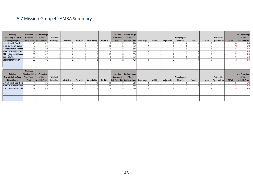# 5.7 Mission Group 4 - AMBA Summary

| <b>Building;</b><br>Church only or Church<br><b>With Adjoining Hall</b> | Minimum<br><b>Standards</b> | As a Percentage<br>of Total<br>Church Score   Available Score | Wind and<br>Watertight | Safe to Use | Security | Accessibility | <b>Facilities</b> | Location<br>Assessment<br>Score  | As a Percentage<br>of Total<br>Available Score Streetscape |             | Viability | Adjacencies | Belonging and<br>Identity | Travel | Clusters | Partnership<br>Opportunities | <b>TOTAL</b> | As a Percentage<br>of Total<br><b>Available Score</b> |
|-------------------------------------------------------------------------|-----------------------------|---------------------------------------------------------------|------------------------|-------------|----------|---------------|-------------------|----------------------------------|------------------------------------------------------------|-------------|-----------|-------------|---------------------------|--------|----------|------------------------------|--------------|-------------------------------------------------------|
| Lamlash Parish Church                                                   |                             | 66%                                                           |                        |             |          |               |                   |                                  | 71%                                                        |             |           |             |                           |        |          |                              |              | 68%                                                   |
| St Molio's Church, Shiskin                                              |                             | 65%                                                           | 14                     |             |          |               |                   | 36                               | 69%                                                        |             |           |             |                           |        |          |                              |              | 67%                                                   |
| St Bride's Church, Lochran                                              |                             | 66%                                                           |                        |             |          |               |                   | 34                               | 65%                                                        |             |           |             |                           |        |          |                              |              | 66%                                                   |
| <b>Brodick St Bride's Church</b>                                        | 39                          | 60%                                                           | 12                     |             |          |               |                   | 34                               | 65%                                                        |             |           |             |                           |        |          |                              |              | 62%                                                   |
| <b>Whiting Bay and Kildonan</b>                                         | $\overline{38}$             | 58%                                                           |                        |             |          |               |                   | 34                               | 65%                                                        |             |           |             |                           |        |          |                              |              | 62%                                                   |
| <b>Corrie Church</b>                                                    | 39                          | 60%                                                           | 12 <sup>1</sup>        |             |          |               |                   | 32                               | 62%                                                        |             |           |             |                           |        |          |                              |              | 61%                                                   |
| <b>Kilmory Parish Church</b>                                            |                             | 49%                                                           | 14                     |             |          |               |                   | $\overline{22}$                  | 42%                                                        |             |           |             |                           |        |          |                              |              | 46%                                                   |
|                                                                         |                             |                                                               |                        |             |          |               |                   |                                  |                                                            |             |           |             |                           |        |          |                              |              |                                                       |
|                                                                         |                             |                                                               |                        |             |          |               |                   |                                  |                                                            |             |           |             |                           |        |          |                              |              |                                                       |
|                                                                         |                             |                                                               |                        |             |          |               |                   |                                  |                                                            |             |           |             |                           |        |          |                              |              |                                                       |
|                                                                         | <b>Minimum</b>              |                                                               |                        |             |          |               |                   |                                  |                                                            |             |           |             |                           |        |          |                              |              |                                                       |
| <b>Building;</b>                                                        |                             | Standards Hall As a Percentage                                |                        |             |          |               |                   | Location                         | As a Percentage                                            |             |           |             |                           |        |          |                              |              | As a Percentage !                                     |
| Separate Hall on Same                                                   | <b>Score (Same</b>          | of Total                                                      | Wind and               |             |          |               |                   | Assessment                       | of Total                                                   |             |           |             | Belonging and             |        |          | Partnership                  |              | of Total                                              |
| Site as Church                                                          | Site)                       | Available Score                                               | Watertight             | Safe to Use | Security | Accessibility | <b>Facilities</b> | Hall (Same Site) Available Score |                                                            | Streetscape | Viability | Adjacencies | Identity                  | Travel | Clusters | Opportunities                | <b>TOTAL</b> | <b>Available Score</b>                                |
| Lamlash Parish Church Ha                                                |                             | 68%                                                           |                        |             |          |               |                   |                                  | 71%                                                        |             |           |             |                           |        |          |                              |              | 69%                                                   |
| <b>Brodick War Memorial Chi</b>                                         |                             | 68%                                                           | 14                     |             |          |               |                   | $\overline{34}$                  | 65%                                                        |             |           |             |                           |        |          |                              |              | 67%                                                   |
| St Molio's Church Hall, Shi                                             | 30I                         | 60%                                                           |                        |             |          |               |                   | 36                               | 69%                                                        |             |           |             |                           |        |          |                              |              | 64%                                                   |
|                                                                         |                             |                                                               |                        |             |          |               |                   |                                  |                                                            |             |           |             |                           |        |          |                              |              |                                                       |
|                                                                         |                             |                                                               |                        |             |          |               |                   |                                  |                                                            |             |           |             |                           |        |          |                              |              |                                                       |
|                                                                         |                             |                                                               |                        |             |          |               |                   |                                  |                                                            |             |           |             |                           |        |          |                              |              |                                                       |
|                                                                         |                             |                                                               |                        |             |          |               |                   |                                  |                                                            |             |           |             |                           |        |          |                              |              |                                                       |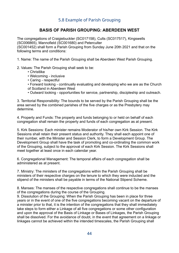#### 5.8 Example of Parish Grouping

#### **BASIS OF PARISH GROUPING: ABERDEEN WEST**

The congregations of Craigiebuckler (SC017158), Cults (SC017517), Kingswells (SC006865), Mannofield (SC001680) and Peterculter

(SC001452) shall form a Parish Grouping from Sunday June 20th 2021 and that on the following terms and conditions:

1. Name: The name of the Parish Grouping shall be Aberdeen West Parish Grouping.

2. Values: The Parish Grouping shall seek to be:

- Christlike
- Welcoming inclusive
- Caring respectful
- Forward looking continually evaluating and developing who we are as the Church of Scotland in Aberdeen West
- Outward looking opportunities for service, partnership, discipleship and outreach.

3. Territorial Responsibility: The bounds to be served by the Parish Grouping shall be the area served by the combined parishes of the five charges or as the Presbytery may determine.

4. Property and Funds: The property and funds belonging to or held on behalf of each congregation shall remain the property and funds of each congregation as at present.

5. Kirk Sessions: Each minister remains Moderator of his/her own Kirk Session. The Kirk Sessions shall retain their present status and authority. They shall each appoint one of their number, with the Minister and Session Clerk, to form a Development Group. The Development Group shall have the task of promoting and co-ordinating the common work of the Grouping, subject to the approval of each Kirk Session. The Kirk Sessions shall meet together at least once in each calendar year.

6. Congregational Management: The temporal affairs of each congregation shall be administered as at present.

7. Ministry: The ministers of the congregations within the Parish Grouping shall be ministers of their respective charges on the tenure to which they were inducted and the stipend of the ministers shall be payable in terms of the National Stipend Scheme.

8. Manses: The manses of the respective congregations shall continue to be the manses of the congregations during the course of the Grouping.

9. Dissolution of the Grouping: When the Parish Grouping has been in place for three years or in the event of one of the five congregations becoming vacant on the departure of a minister prior to that, it is the intention of the congregations that they shall immediately take steps to form either a Linkage of all five congregations or some other configuration and upon the approval of the Basis of Linkage or Bases of Linkages, the Parish Grouping shall be dissolved. For the avoidance of doubt, in the event that agreement on a linkage or linkages cannot be achieved within the intended timescales, the Parish Grouping shall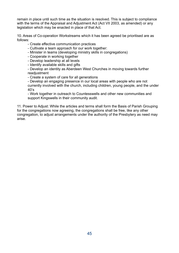remain in place until such time as the situation is resolved. This is subject to compliance with the terms of the Appraisal and Adjustment Act (Act VII 2003, as amended) or any legislation which may be enacted in place of that Act.

10. Areas of Co-operation Workstreams which it has been agreed be prioritised are as follows:

- Create effective communication practices

- Cultivate a team approach for our work together:

- Minister in teams (developing ministry skills in congregations)

- Cooperate in working together

- Develop leadership at all levels

- Identify available skills and gifts

- Develop an identity as Aberdeen West Churches in moving towards further readjustment

- Create a system of care for all generations

- Develop an engaging presence in our local areas with people who are not currently involved with the church, including children, young people, and the under 40's

- Work together in outreach to Countesswells and other new communities and support Kingswells in their community audit.

11. Power to Adjust: While the articles and terms shall form the Basis of Parish Grouping for the congregations now agreeing, the congregations shall be free, like any other congregation, to adjust arrangements under the authority of the Presbytery as need may arise.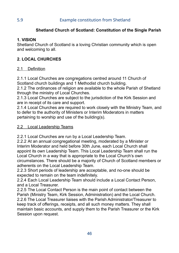### **Shetland Church of Scotland: Constitution of the Single Parish**

#### **1. VISION**

Shetland Church of Scotland is a loving Christian community which is open and welcoming to all.

## **2. LOCAL CHURCHES**

#### 2.1 Definition

2.1.1 Local Churches are congregations centred around 11 Church of Scotland church buildings and 1 Methodist church building.

2.1.2 The ordinances of religion are available to the whole Parish of Shetland through the ministry of Local Churches.

2.1.3 Local Churches are subject to the jurisdiction of the Kirk Session and are in receipt of its care and support.

2.1.4 Local Churches are required to work closely with the Ministry Team, and to defer to the authority of Ministers or Interim Moderators in matters pertaining to worship and use of the building(s).

#### 2.2 Local Leadership Teams

2.2.1 Local Churches are run by a Local Leadership Team.

2.2.2 At an annual congregational meeting, moderated by a Minister or Interim Moderator and held before 30th June, each Local Church shall appoint its own Leadership Team. This Local Leadership Team shall run the Local Church in a way that is appropriate to the Local Church's own circumstances. There should be a majority of Church of Scotland members or adherents on the Local Leadership Team.

2.2.3 Short periods of leadership are acceptable, and no-one should be expected to remain on the team indefinitely.

2.2.4 Each Local Leadership Team should include a Local Contact Person, and a Local Treasurer.

2.2.5 The Local Contact Person is the main point of contact between the Parish (Ministry Team, Kirk Session, Administration) and the Local Church. 2.2.6 The Local Treasurer liaises with the Parish Administrator/Treasurer to keep track of offerings, receipts, and all such money matters. They shall maintain basic accounts, and supply them to the Parish Treasurer or the Kirk Session upon request.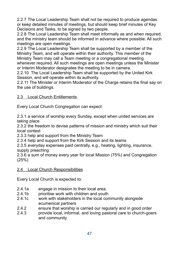2.2.7 The Local Leadership Team shall not be required to produce agendas or keep detailed minutes of meetings, but should keep brief minutes of Key Decisions and Tasks, to be signed by two people.

2.2.8 The Local Leadership Team shall meet informally as and when required, and the ministry team should be informed in advance where possible. All such meetings are open meetings.

2.2.9 The Local Leadership Team shall be supported by a member of the Ministry Team, and will operate within their authority. This member of the Ministry Team may call a Team meeting or a congregational meeting whenever required. All such meetings are open meetings unless the Minister or Interim Moderator designates the meeting to be in camera.

2.2.10 The Local Leadership Team shall be supported by the United Kirk Session, and will operate within its authority.

2.2.11 The Minister or Interim Moderator of the Charge retains the final say on the use of buildings.

#### 2.3 Local Church Entitlements

Every Local Church Congregation can expect:

2.3.1 a service of worship every Sunday, except when united services are taking place

2.3.2 the freedom to devise patterns of mission and ministry which suit their local context

2.3.3 help and support from the Ministry Team

2.3.4 help and support from the Kirk Session and its teams

2.3.5 everyday expenses paid centrally, e.g., heating, lighting, insurance, supply preaching

2.3.6 a sum of money every year for local Mission (75%) and Congregation (25%)

#### 2.4 Local Church Responsibilities

Every Local Church is expected to:

- 2.4.1a engage in mission to their local area.
- 2.4.1b prioritise work with children and youth
- 2.4.1c work with stakeholders in the local community alongside ecumenical partners
- 2.4.2 ensure that worship is carried our regularly and in good order
- 2.4.3 provide local, informal, and loving pastoral care to church-goers and community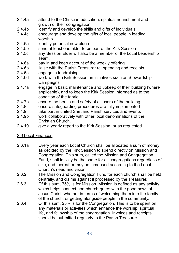- 2.4.4a attend to the Christian education, spiritual nourishment and growth of their congregation
- 2.4.4b identify and develop the skills and gifts of individuals.
- 2.4.4c encourage and develop the gifts of local people in leading worship.
- 2.4.5a identify potential new elders
- 2.4.5b send at least one elder to be part of the Kirk Session
- 2.4.5c any Session Elder will also be a member of the Local Leadership Team.
- 2.4.6a pay in and keep account of the weekly offering
- 2.4.6b liaise with the Parish Treasurer re. spending and receipts
- 2.4.6c engage in fundraising
- 2.4.6d work with the Kirk Session on initiatives such as Stewardship **Campaigns**
- 2.4.7a engage in basic maintenance and upkeep of their building (where applicable), and to keep the Kirk Session informed as to the condition of the fabric
- 2.4.7b ensure the health and safety of all users of the building
- 2.4.8 ensure safeguarding procedures are fully implemented
- 2.4.9 take part in united Shetland Parish services and events
- 2.4.9b work collaboratively with other local denominations of the Christian Church.
- 2.4.10 give a yearly report to the Kirk Session, or as requested

#### 2.6 Local Finances

- 2.6.1a Every year each Local Church shall be allocated a sum of money as decided by the Kirk Session to spend directly on Mission and Congregation. This sum, called the Mission and Congregation Fund, shall initially be the same for all congregations regardless of size, and thereafter may be increased according to the Local Church's need and vision.
- 2.6.2 The Mission and Congregation Fund for each church shall be held centrally, and claims against it processed by the Treasurer.
- 2.6.3 Of this sum, 75% is for Mission. Mission is defined as any activity which helps connect non-church-goers with the good news of Jesus Christ, whether in terms of welcoming them into the family of the church, or getting alongside people in the community.
- 2.6.4 Of this sum, 25% is for the Congregation. This is to be spent on any materials or activities which enhance the worship, spiritual life, and fellowship of the congregation. Invoices and receipts should be submitted regularly to the Parish Treasurer.